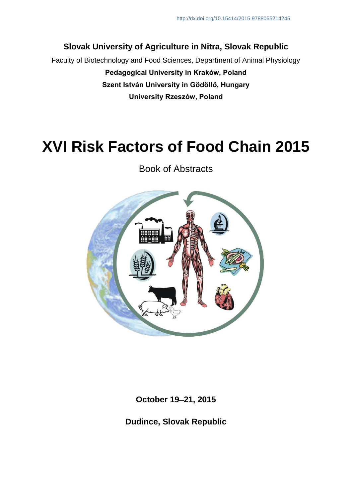## **Slovak University of Agriculture in Nitra, Slovak Republic**

Faculty of Biotechnology and Food Sciences, Department of Animal Physiology **Pedagogical University in Kraków, Poland Szent István University in Gödöllő, Hungary University Rzeszów, Poland**

# **XVI Risk Factors of Food Chain 2015**

Book of Abstracts



**October 1921, 2015**

**Dudince, Slovak Republic**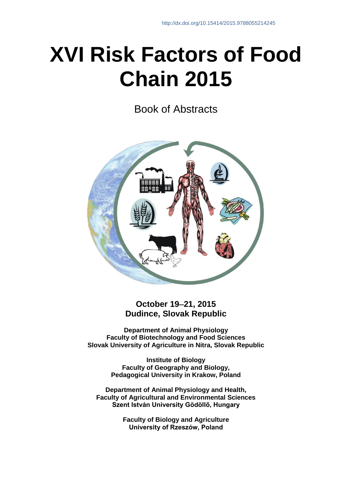# **XVI Risk Factors of Food Chain 2015**

Book of Abstracts



### **October 1921, 2015 Dudince, Slovak Republic**

**Department of Animal Physiology Faculty of Biotechnology and Food Sciences Slovak University of Agriculture in Nitra, Slovak Republic**

> **Institute of Biology Faculty of Geography and Biology, Pedagogical University in Krakow, Poland**

**Department of Animal Physiology and Health, Faculty of Agricultural and Environmental Sciences Szent István University Gödöllő, Hungary**

> **Faculty of Biology and Agriculture University of Rzeszów, Poland**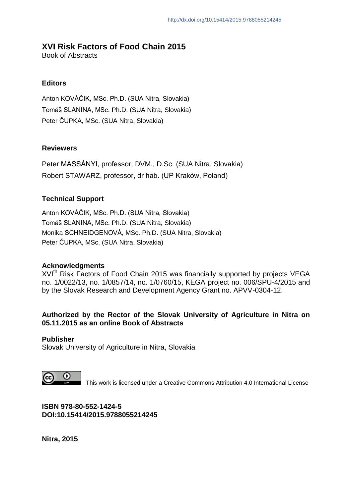#### **XVI Risk Factors of Food Chain 2015**

Book of Abstracts

#### **Editors**

Anton KOVÁČIK, MSc. Ph.D. (SUA Nitra, Slovakia) Tomáš SLANINA, MSc. Ph.D. (SUA Nitra, Slovakia) Peter ČUPKA, MSc. (SUA Nitra, Slovakia)

#### **Reviewers**

Peter MASSÁNYI, professor, DVM., D.Sc. (SUA Nitra, Slovakia) Robert STAWARZ, professor, dr hab. (UP Kraków, Poland)

#### **Technical Support**

Anton KOVÁČIK, MSc. Ph.D. (SUA Nitra, Slovakia) Tomáš SLANINA, MSc. Ph.D. (SUA Nitra, Slovakia) Monika SCHNEIDGENOVÁ, MSc. Ph.D. (SUA Nitra, Slovakia) Peter ČUPKA, MSc. (SUA Nitra, Slovakia)

#### **Acknowledgments**

XVI<sup>th</sup> Risk Factors of Food Chain 2015 was financially supported by projects VEGA no. 1/0022/13, no. 1/0857/14, no. 1/0760/15, KEGA project no. 006/SPU-4/2015 and by the Slovak Research and Development Agency Grant no. APVV-0304-12.

#### **Authorized by the Rector of the Slovak University of Agriculture in Nitra on 05.11.2015 as an online Book of Abstracts**

**Publisher** Slovak University of Agriculture in Nitra, Slovakia

 $\Omega$ 

This work is licensed under a Creative Commons Attribution 4.0 International License

**ISBN 978-80-552-1424-5 DOI:10.15414/2015.9788055214245**

**Nitra, 2015**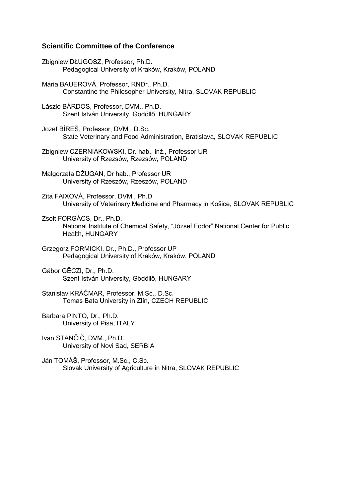#### **Scientific Committee of the Conference**

Zbigniew DŁUGOSZ, Professor, Ph.D. Pedagogical University of Kraków, Kraków, POLAND

Mária BAUEROVÁ, Professor, RNDr., Ph.D. Constantine the Philosopher University, Nitra, SLOVAK REPUBLIC

Lászlo BÁRDOS, Professor, DVM., Ph.D. Szent István University, Gödöllő, HUNGARY

Jozef BÍREŠ, Professor, DVM., D.Sc. State Veterinary and Food Administration, Bratislava, SLOVAK REPUBLIC

Zbigniew CZERNIAKOWSKI, Dr. hab., inż., Professor UR University of Rzezsów, Rzezsów, POLAND

Małgorzata DŻUGAN, Dr hab., Professor UR University of Rzeszów, Rzeszów, POLAND

Zita FAIXOVÁ, Professor, DVM., Ph.D. University of Veterinary Medicine and Pharmacy in Košice, SLOVAK REPUBLIC

Zsolt FORGÁCS, Dr., Ph.D. National Institute of Chemical Safety, "József Fodor" National Center for Public Health, HUNGARY

Grzegorz FORMICKI, Dr., Ph.D., Professor UP Pedagogical University of Kraków, Kraków, POLAND

Gábor GĚCZI, Dr., Ph.D. Szent István University, Gödöllő, HUNGARY

Stanislav KRÁČMAR, Professor, M.Sc., D.Sc. Tomas Bata University in Zlín, CZECH REPUBLIC

Barbara PINTO, Dr., Ph.D. University of Pisa, ITALY

Ivan STANČIČ, DVM., Ph.D. University of Novi Sad, SERBIA

Ján TOMÁŠ, Professor, M.Sc., C.Sc. Slovak University of Agriculture in Nitra, SLOVAK REPUBLIC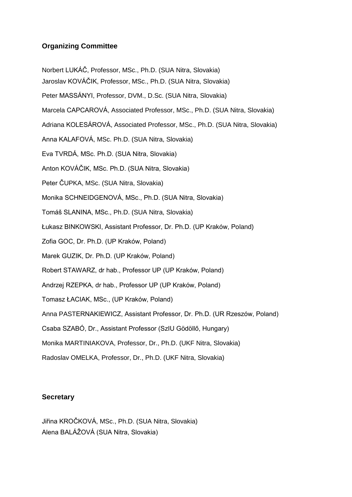#### **Organizing Committee**

Norbert LUKÁČ, Professor, MSc., Ph.D. (SUA Nitra, Slovakia)

Jaroslav KOVÁČIK, Professor, MSc., Ph.D. (SUA Nitra, Slovakia)

Peter MASSÁNYI, Professor, DVM., D.Sc. (SUA Nitra, Slovakia)

Marcela CAPCAROVÁ, Associated Professor, MSc., Ph.D. (SUA Nitra, Slovakia)

Adriana KOLESÁROVÁ, Associated Professor, MSc., Ph.D. (SUA Nitra, Slovakia)

Anna KALAFOVÁ, MSc. Ph.D. (SUA Nitra, Slovakia)

Eva TVRDÁ, MSc. Ph.D. (SUA Nitra, Slovakia)

Anton KOVÁČIK, MSc. Ph.D. (SUA Nitra, Slovakia)

Peter ČUPKA, MSc. (SUA Nitra, Slovakia)

Monika SCHNEIDGENOVÁ, MSc., Ph.D. (SUA Nitra, Slovakia)

Tomáš SLANINA, MSc., Ph.D. (SUA Nitra, Slovakia)

Łukasz BINKOWSKI, Assistant Professor, Dr. Ph.D. (UP Kraków, Poland)

Zofia GOC, Dr. Ph.D. (UP Kraków, Poland)

Marek GUZIK, Dr. Ph.D. (UP Kraków, Poland)

Robert STAWARZ, dr hab., Professor UP (UP Kraków, Poland)

Andrzej RZEPKA, dr hab., Professor UP (UP Kraków, Poland)

Tomasz ŁACIAK, MSc., (UP Kraków, Poland)

Anna PASTERNAKIEWICZ, Assistant Professor, Dr. Ph.D. (UR Rzeszów, Poland)

Csaba SZABÓ, Dr., Assistant Professor (SzIU Gödöllő, Hungary)

Monika MARTINIAKOVA, Professor, Dr., Ph.D. (UKF Nitra, Slovakia)

Radoslav OMELKA, Professor, Dr., Ph.D. (UKF Nitra, Slovakia)

#### **Secretary**

Jiřina KROČKOVÁ, MSc., Ph.D. (SUA Nitra, Slovakia) Alena BALÁŽOVÁ (SUA Nitra, Slovakia)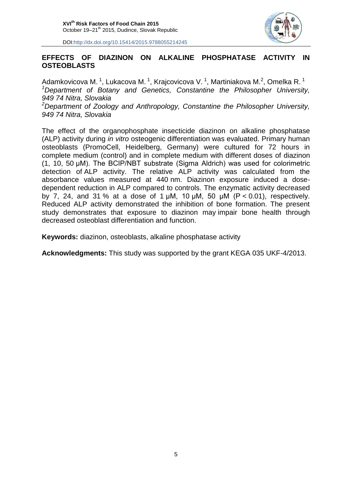

#### **EFFECTS OF DIAZINON ON ALKALINE PHOSPHATASE ACTIVITY IN OSTEOBLASTS**

Adamkovicova M. <sup>1</sup>, Lukacova M. <sup>1</sup>, Krajcovicova V. <sup>1</sup>, Martiniakova M.<sup>2</sup>, Omelka R. <sup>1</sup> *<sup>1</sup>Department of Botany and Genetics, Constantine the Philosopher University, 949 74 Nitra, Slovakia*

*<sup>2</sup>Department of Zoology and Anthropology, Constantine the Philosopher University, 949 74 Nitra, Slovakia*

The effect of the organophosphate insecticide diazinon on alkaline phosphatase (ALP) activity during *in vitro* osteogenic differentiation was evaluated. Primary human osteoblasts (PromoCell, Heidelberg, Germany) were cultured for 72 hours in complete medium (control) and in complete medium with different doses of diazinon (1, 10, 50 μM). The BCIP/NBT substrate (Sigma Aldrich) was used for colorimetric detection of ALP activity. The relative ALP activity was calculated from the absorbance values measured at 440 nm. Diazinon exposure induced a dosedependent reduction in ALP compared to controls. The enzymatic activity decreased by 7, 24, and 31 % at a dose of 1  $\mu$ M, 10  $\mu$ M, 50  $\mu$ M (P < 0.01), respectively. Reduced ALP activity demonstrated the inhibition of bone formation. The present study demonstrates that exposure to diazinon may impair bone health through decreased osteoblast differentiation and function.

**Keywords:** diazinon, osteoblasts, alkaline phosphatase activity

**Acknowledgments:** This study was supported by the grant KEGA 035 UKF-4/2013.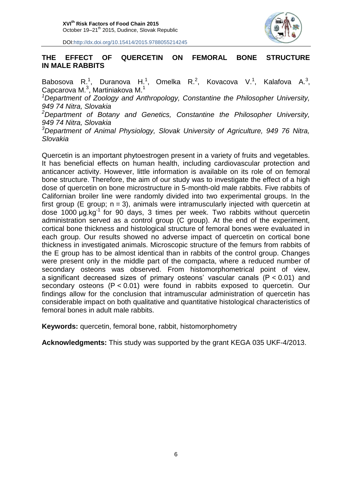

#### **THE EFFECT OF QUERCETIN ON FEMORAL BONE STRUCTURE IN MALE RABBITS**

Babosova R.<sup>1</sup>, Duranova H.<sup>1</sup>, Omelka R.<sup>2</sup>, Kovacova V.<sup>1</sup>, Kalafova A.<sup>3</sup>, Capcarova M. $3$ , Martiniakova M. $1$ 

*<sup>1</sup>Department of Zoology and Anthropology, Constantine the Philosopher University, 949 74 Nitra, Slovakia*

*<sup>2</sup>Department of Botany and Genetics, Constantine the Philosopher University, 949 74 Nitra, Slovakia*

*<sup>3</sup>Department of Animal Physiology, Slovak University of Agriculture, 949 76 Nitra, Slovakia*

Quercetin is an important phytoestrogen present in a variety of fruits and vegetables. It has beneficial effects on human health, including cardiovascular protection and anticancer activity. However, little information is available on its role of on femoral bone structure. Therefore, the aim of our study was to investigate the effect of a high dose of quercetin on bone microstructure in 5-month-old male rabbits. Five rabbits of Californian broiler line were randomly divided into two experimental groups. In the first group (E group;  $n = 3$ ), animals were intramuscularly injected with quercetin at dose 1000  $\mu$ g.kg<sup>-1</sup> for 90 days, 3 times per week. Two rabbits without quercetin administration served as a control group (C group). At the end of the experiment, cortical bone thickness and histological structure of femoral bones were evaluated in each group. Our results showed no adverse impact of quercetin on cortical bone thickness in investigated animals. Microscopic structure of the femurs from rabbits of the E group has to be almost identical than in rabbits of the control group. Changes were present only in the middle part of the compacta, where a reduced number of secondary osteons was observed. From histomorphometrical point of view, a significant decreased sizes of primary osteons' vascular canals (P < 0.01) and secondary osteons (P < 0.01) were found in rabbits exposed to quercetin. Our findings allow for the conclusion that intramuscular administration of quercetin has considerable impact on both qualitative and quantitative histological characteristics of femoral bones in adult male rabbits.

**Keywords:** quercetin, femoral bone, rabbit, histomorphometry

**Acknowledgments:** This study was supported by the grant KEGA 035 UKF-4/2013.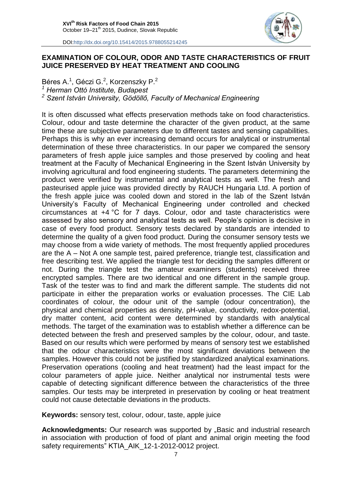

#### **EXAMINATION OF COLOUR, ODOR AND TASTE CHARACTERISTICS OF FRUIT JUICE PRESERVED BY HEAT TREATMENT AND COOLING**

Béres A.<sup>1</sup>, Géczi G.<sup>2</sup>, Korzenszky P.<sup>2</sup> *<sup>1</sup> Herman Ottó Institute, Budapest <sup>2</sup> Szent István University, Gödöllő, Faculty of Mechanical Engineering*

It is often discussed what effects preservation methods take on food characteristics. Colour, odour and taste determine the character of the given product, at the same time these are subjective parameters due to different tastes and sensing capabilities. Perhaps this is why an ever increasing demand occurs for analytical or instrumental determination of these three characteristics. In our paper we compared the sensory parameters of fresh apple juice samples and those preserved by cooling and heat treatment at the Faculty of Mechanical Engineering in the Szent István University by involving agricultural and food engineering students. The parameters determining the product were verified by instrumental and analytical tests as well. The fresh and pasteurised apple juice was provided directly by RAUCH Hungaria Ltd. A portion of the fresh apple juice was cooled down and stored in the lab of the Szent István University's Faculty of Mechanical Engineering under controlled and checked circumstances at +4 °C for 7 days. Colour, odor and taste characteristics were assessed by also sensory and analytical tests as well. People's opinion is decisive in case of every food product. Sensory tests declared by standards are intended to determine the quality of a given food product. During the consumer sensory tests we may choose from a wide variety of methods. The most frequently applied procedures are the A – Not A one sample test, paired preference, triangle test, classification and free describing test. We applied the triangle test for deciding the samples different or not. During the triangle test the amateur examiners (students) received three encrypted samples. There are two identical and one different in the sample group. Task of the tester was to find and mark the different sample. The students did not participate in either the preparation works or evaluation processes. The CIE Lab coordinates of colour, the odour unit of the sample (odour concentration), the physical and chemical properties as density, pH-value, conductivity, redox-potential, dry matter content, acid content were determined by standards with analytical methods. The target of the examination was to establish whether a difference can be detected between the fresh and preserved samples by the colour, odour, and taste. Based on our results which were performed by means of sensory test we established that the odour characteristics were the most significant deviations between the samples. However this could not be justified by standardized analytical examinations. Preservation operations (cooling and heat treatment) had the least impact for the colour parameters of apple juice. Neither analytical nor instrumental tests were capable of detecting significant difference between the characteristics of the three samples. Our tests may be interpreted in preservation by cooling or heat treatment could not cause detectable deviations in the products.

**Keywords:** sensory test, colour, odour, taste, apple juice

**Acknowledgments:** Our research was supported by ..Basic and industrial research in association with production of food of plant and animal origin meeting the food safety requirements" KTIA\_AIK\_12-1-2012-0012 project.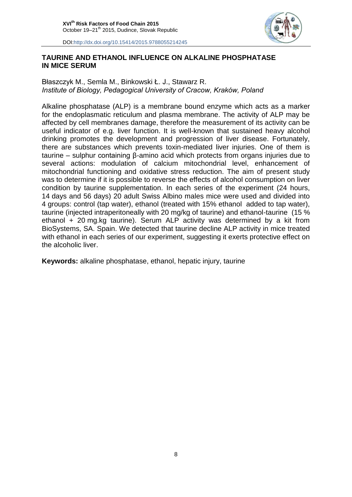

#### **TAURINE AND ETHANOL INFLUENCE ON ALKALINE PHOSPHATASE IN MICE SERUM**

#### Błaszczyk M., Semla M., Binkowski Ł. J., Stawarz R. *Institute of Biology, Pedagogical University of Cracow, Kraków, Poland*

Alkaline phosphatase (ALP) is a membrane bound enzyme which acts as a marker for the endoplasmatic reticulum and plasma membrane. The activity of ALP may be affected by cell membranes damage, therefore the measurement of its activity can be useful indicator of e.g. liver function. It is well-known that sustained heavy alcohol drinking promotes the development and progression of liver disease. Fortunately, there are substances which prevents toxin-mediated liver injuries. One of them is taurine – sulphur containing β-amino acid which protects from organs injuries due to several actions: modulation of calcium mitochondrial level, enhancement of mitochondrial functioning and oxidative stress reduction. The aim of present study was to determine if it is possible to reverse the effects of alcohol consumption on liver condition by taurine supplementation. In each series of the experiment (24 hours, 14 days and 56 days) 20 adult Swiss Albino males mice were used and divided into 4 groups: control (tap water), ethanol (treated with 15% ethanol added to tap water), taurine (injected intraperitoneally with 20 mg/kg of taurine) and ethanol-taurine (15 % ethanol + 20 mg.kg taurine). Serum ALP activity was determined by a kit from BioSystems, SA. Spain. We detected that taurine decline ALP activity in mice treated with ethanol in each series of our experiment, suggesting it exerts protective effect on the alcoholic liver.

**Keywords:** alkaline phosphatase, ethanol, hepatic injury, taurine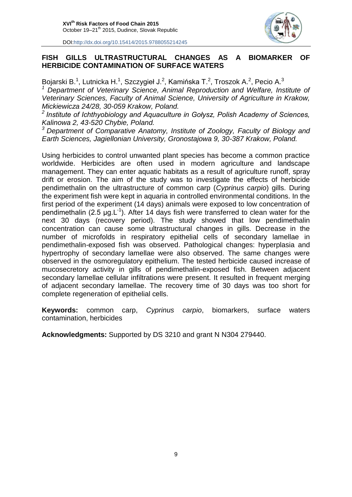

#### **FISH GILLS ULTRASTRUCTURAL CHANGES AS A BIOMARKER OF HERBICIDE CONTAMINATION OF SURFACE WATERS**

Bojarski B.<sup>1</sup>, Lutnicka H.<sup>1</sup>, Szczygieł J.<sup>2</sup>, Kamińska T.<sup>2</sup>, Troszok A.<sup>2</sup>, Pecio A.<sup>3</sup> *<sup>1</sup> Department of Veterinary Science, Animal Reproduction and Welfare, Institute of Veterinary Sciences, Faculty of Animal Science, University of Agriculture in Krakow, Mickiewicza 24/28, 30-059 Krakow, Poland.*

*2 Institute of Ichthyobiology and Aquaculture in Gołysz, Polish Academy of Sciences, Kalinowa 2, 43-520 Chybie, Poland.*

*<sup>3</sup> Department of Comparative Anatomy, Institute of Zoology, [Faculty of Biology and](http://www.binoz.uj.edu.pl/en_GB/start)  [Earth Sciences,](http://www.binoz.uj.edu.pl/en_GB/start) Jagiellonian University, Gronostajowa 9, 30-387 Krakow, Poland.*

Using herbicides to control unwanted plant species has become a common practice worldwide. Herbicides are often used in modern agriculture and landscape management. They can enter aquatic habitats as a result of agriculture runoff, spray drift or erosion. The aim of the study was to investigate the effects of herbicide pendimethalin on the ultrastructure of common carp (*Cyprinus carpio*) gills. During the experiment fish were kept in aquaria in controlled environmental conditions. In the first period of the experiment (14 days) animals were exposed to low concentration of pendimethalin (2.5  $\mu$ g.L<sup>-1</sup>). After 14 days fish were transferred to clean water for the next 30 days (recovery period). The study showed that low pendimethalin concentration can cause some ultrastructural changes in gills. Decrease in the number of microfolds in respiratory epithelial cells of secondary lamellae in pendimethalin-exposed fish was observed. Pathological changes: hyperplasia and hypertrophy of secondary lamellae were also observed. The same changes were observed in the osmoregulatory epithelium. The tested herbicide caused increase of mucosecretory activity in gills of pendimethalin-exposed fish. Between adjacent secondary lamellae cellular infiltrations were present. It resulted in frequent merging of adjacent secondary lamellae. The recovery time of 30 days was too short for complete regeneration of epithelial cells.

**Keywords:** common carp, *Cyprinus carpio*, biomarkers, surface waters contamination, herbicides

**Acknowledgments:** Supported by DS 3210 and grant N N304 279440.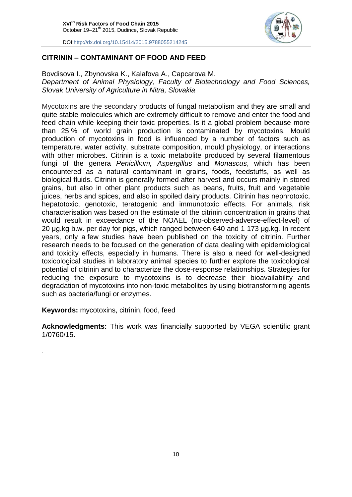

#### **CITRININ – CONTAMINANT OF FOOD AND FEED**

Bovdisova I., Zbynovska K., Kalafova A., Capcarova M. *Department of Animal Physiology, Faculty of Biotechnology and Food Sciences, Slovak University of Agriculture in Nitra, Slovakia*

Mycotoxins are the secondary products of fungal metabolism and they are small and quite stable molecules which are extremely difficult to remove and enter the food and feed chain while keeping their toxic properties. Is it a global problem because more than 25 % of world grain production is contaminated by mycotoxins. Mould production of mycotoxins in food is influenced by a number of factors such as temperature, water activity, substrate composition, mould physiology, or interactions with other microbes. Citrinin is a toxic metabolite produced by several filamentous fungi of the genera *Penicillium, Aspergillus* and *Monascus*, which has been encountered as a natural contaminant in grains, foods, feedstuffs, as well as biological fluids. Citrinin is generally formed after harvest and occurs mainly in stored grains, but also in other plant products such as beans, fruits, fruit and vegetable juices, herbs and spices, and also in spoiled dairy products. Citrinin has nephrotoxic, hepatotoxic, genotoxic, teratogenic and immunotoxic effects. For animals, risk characterisation was based on the estimate of the citrinin concentration in grains that would result in exceedance of the NOAEL (no-observed-adverse-effect-level) of 20 µg.kg b.w. per day for pigs, which ranged between 640 and 1 173 µg.kg. In recent years, only a few studies have been published on the toxicity of citrinin. Further research needs to be focused on the generation of data dealing with epidemiological and toxicity effects, especially in humans. There is also a need for well-designed toxicological studies in laboratory animal species to further explore the toxicological potential of citrinin and to characterize the dose-response relationships. Strategies for reducing the exposure to mycotoxins is to decrease their bioavailability and degradation of mycotoxins into non-toxic metabolites by using biotransforming agents such as bacteria/fungi or enzymes.

**Keywords:** mycotoxins, citrinin, food, feed

.

**Acknowledgments:** This work was financially supported by VEGA scientific grant 1/0760/15.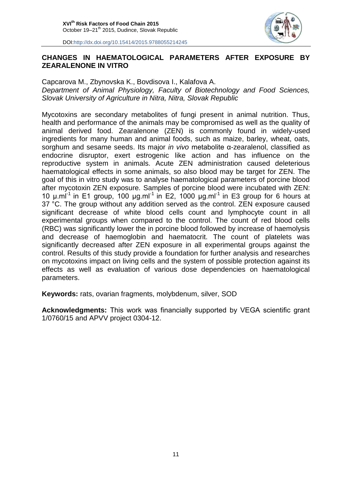

#### **CHANGES IN HAEMATOLOGICAL PARAMETERS AFTER EXPOSURE BY ZEARALENONE IN VITRO**

Capcarova M., Zbynovska K., Bovdisova I., Kalafova A. *Department of Animal Physiology, Faculty of Biotechnology and Food Sciences, Slovak University of Agriculture in Nitra, Nitra, Slovak Republic*

Mycotoxins are secondary metabolites of fungi present in animal nutrition. Thus, health and performance of the animals may be compromised as well as the quality of animal derived food. Zearalenone (ZEN) is commonly found in widely-used ingredients for many human and animal foods, such as maize, barley, wheat, oats, sorghum and sesame seeds. Its major *in vivo* metabolite α-zearalenol, classified as endocrine disruptor, exert estrogenic like action and has influence on the reproductive system in animals. Acute ZEN administration caused deleterious haematological effects in some animals, so also blood may be target for ZEN. The goal of this in vitro study was to analyse haematological parameters of porcine blood after mycotoxin ZEN exposure*.* Samples of porcine blood were incubated with ZEN: 10  $\mu$ .ml<sup>-1</sup> in E1 group, 100  $\mu$ g.ml<sup>-1</sup> in E2, 1000  $\mu$ g.ml<sup>-1</sup> in E3 group for 6 hours at 37 °C. The group without any addition served as the control. ZEN exposure caused significant decrease of white blood cells count and lymphocyte count in all experimental groups when compared to the control. The count of red blood cells (RBC) was significantly lower the in porcine blood followed by increase of haemolysis and decrease of haemoglobin and haematocrit. The count of platelets was significantly decreased after ZEN exposure in all experimental groups against the control. Results of this study provide a foundation for further analysis and researches on mycotoxins impact on living cells and the system of possible protection against its effects as well as evaluation of various dose dependencies on haematological parameters.

**Keywords:** rats, ovarian fragments, molybdenum, silver, SOD

**Acknowledgments:** This work was financially supported by VEGA scientific grant 1/0760/15 and APVV project 0304-12.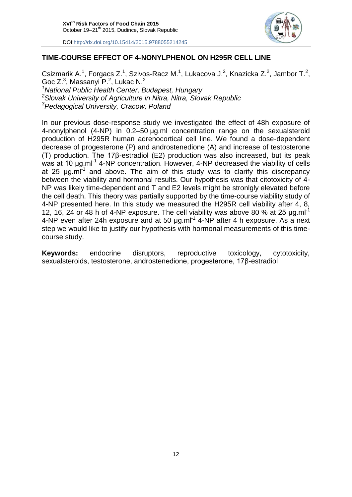

#### **TIME-COURSE EFFECT OF 4-NONYLPHENOL ON H295R CELL LINE**

Csizmarik A.<sup>1</sup>, Forgacs Z.<sup>1</sup>, Szivos-Racz M.<sup>1</sup>, Lukacova J.<sup>2</sup>, Knazicka Z.<sup>2</sup>, Jambor T.<sup>2</sup>, Goc  $Z^3$ , Massanyi P.<sup>2</sup>, Lukac N.<sup>2</sup> *<sup>1</sup>National Public Health Center, Budapest, Hungary <sup>2</sup>Slovak University of Agriculture in Nitra, Nitra, Slovak Republic <sup>3</sup>Pedagogical University, Cracow, Poland*

In our previous dose-response study we investigated the effect of 48h exposure of 4-nonylphenol (4-NP) in 0.2–50 µg.ml concentration range on the sexualsteroid production of H295R human adrenocortical cell line. We found a dose-dependent decrease of progesterone (P) and androstenedione (A) and increase of testosterone (T) production. The 17β-estradiol (E2) production was also increased, but its peak was at 10  $\mu$ g.ml<sup>-1</sup> 4-NP concentration. However, 4-NP decreased the viability of cells at 25  $\mu$ g.ml<sup>-1</sup> and above. The aim of this study was to clarify this discrepancy between the viability and hormonal results. Our hypothesis was that citotoxicity of 4- NP was likely time-dependent and T and E2 levels might be stronlgly elevated before the cell death. This theory was partially supported by the time-course viability study of 4-NP presented here. In this study we measured the H295R cell viability after 4, 8, 12, 16, 24 or 48 h of 4-NP exposure. The cell viability was above 80 % at 25  $\mu$ g.ml<sup>-1</sup> 4-NP even after 24h exposure and at 50  $\mu$ g.ml<sup>-1</sup> 4-NP after 4 h exposure. As a next step we would like to justify our hypothesis with hormonal measurements of this timecourse study.

**Keywords:** endocrine disruptors, reproductive toxicology, cytotoxicity, sexualsteroids, testosterone, androstenedione, progesterone, 17β-estradiol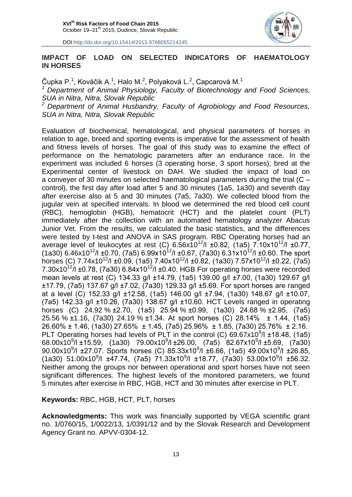

#### **IMPACT OF LOAD ON SELECTED INDICATORS OF HAEMATOLOGY IN HORSES**

Čupka P.<sup>1</sup>, Kováčik A.<sup>1</sup>, Halo M.<sup>2</sup>, Polyaková L.<sup>2</sup>, Capcarová M.<sup>1</sup>

*<sup>1</sup> Department of Animal Physiology, Faculty of Biotechnology and Food Sciences, SUA in Nitra, Nitra, Slovak Republic*

*<sup>2</sup> Department of Animal Husbandry, Faculty of Agrobiology and Food Resources, SUA in Nitra, Nitra, Slovak Republic*

Evaluation of biochemical, hematological, and physical parameters of horses in relation to age, breed and sporting events is imperative for the assessment of health and fitness levels of horses. The goal of this study was to examine the effect of performance on the hematologic parameters after an endurance race. In the experiment was included 6 horses (3 operating horse, 3 sport horses), bred at the Experimental center of livestock on DAH. We studied the impact of load on a conveyer of 30 minutes on selected haematological parameters during the trial (C – control), the first day after load after 5 and 30 minutes (1a5, 1a30) and seventh day after exercise also at 5 and 30 minutes (7a5, 7a30). We collected blood from the jugular vein at specified intervals. In blood we determined the red blood cell count (RBC), hemoglobin (HGB), hematocrit (HCT) and the platelet count (PLT) immediately after the collection with an automated hematology analyzer Abacus Junior Vet. From the results, we calculated the basic statistics, and the differences were tested by t-test and ANOVA in SAS program. RBC Operating horses had an average level of leukocytes at rest (C)  $6.56x10^{12}/1 \pm 0.82$ , (1a5)  $7.10x10^{12}/1 \pm 0.77$ ,  $(1a30)$  6.46x10<sup>12</sup>/l ±0.70, (7a5) 6.99x10<sup>12</sup>/l ±0.67, (7a30) 6.31x10<sup>12</sup>/l ±0.60. The sport horses (C)  $7.74 \times 10^{12}$ /l ±0.09, (1a5)  $7.40 \times 10^{12}$ /l ±0.82, (1a30)  $7.57 \times 10^{12}$ /l ±0.22, (7a5) 7.30x10<sup>12</sup>/l ±0.78, (7a30) 6.84x10<sup>12</sup>/l ±0.40. HGB For operating horses were recorded mean levels at rest (C) 134.33 g/l ±14.79, (1a5) 139.00 g/l ±7.00, (1a30) 129.67 g/l ±17.79, (7a5) 137.67 g/l ±7.02, (7a30) 129.33 g/l ±5.69. For sport horses are ranged at a level (C) 152.33 g/l ±12.58, (1a5) 146.00 g/l ±7.94, (1a30) 148.67 g/l ±10.07, (7a5) 142.33 g/l ±10.26, (7a30) 138.67 g/l ±10.60. HCT Levels ranged in operating horses (C) 24.92 % ±2.70, (1a5) 25.94 % ±0.99, (1a30) 24.68 % ±2.95, (7a5) 25.56 % ±1.16, (7a30) 24.19 % ±1.34. At sport horses (C) 28.14% ± 1.44, (1a5) 26.60% ± 1.46, (1a30) 27.65% ± 1.45, (7a5) 25.96% ± 1.85, (7a30) 25.76% ± 2.16. PLT Operating horses had levels of PLT in the control (C)  $69.67 \times 10^9$ /l ±18.48, (1a5) 68.00x10<sup>9</sup>/l ±15.59, (1a30) 79.00x10<sup>9</sup>/l ±26.00, (7a5) 82.67x10<sup>9</sup>/l ±5.69, (7a30) 90.00x10<sup>9</sup>/l ±27.07. Sports horses (C) 85.33x10<sup>9</sup>/l ±6.66, (1a5) 49.00x10<sup>9</sup>/l ±26.85,  $(1a30)$  51.00x10<sup>9</sup>/l ±47.74, (7a5) 71.33x10<sup>9</sup>/l ±18.77, (7a30) 53.00x10<sup>9</sup>/l ±56.32. Neither among the groups nor between operational and sport horses have not seen significant differences. The highest levels of the monitored parameters, we found 5 minutes after exercise in RBC, HGB, HCT and 30 minutes after exercise in PLT.

**Keywords:** RBC, HGB, HCT, PLT, horses

**Acknowledgments:** This work was financially supported by VEGA scientific grant no. 1/0760/15, 1/0022/13, 1/0391/12 and by the Slovak Research and Development Agency Grant no. APVV-0304-12.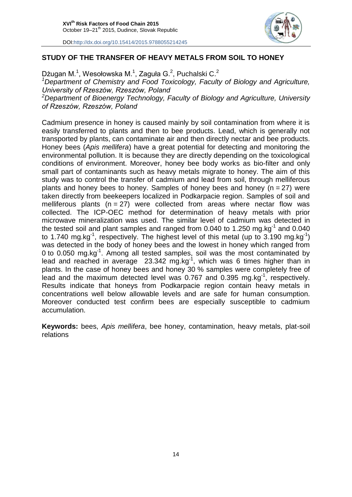

#### **STUDY OF THE TRANSFER OF HEAVY METALS FROM SOIL TO HONEY**

Dżugan M.<sup>1</sup>, Wesołowska M.<sup>1</sup>, Zaguła G.<sup>2</sup>, Puchalski C.<sup>2</sup>

*<sup>1</sup>Department of Chemistry and Food Toxicology, Faculty of Biology and Agriculture, University of Rzeszów, Rzeszów, Poland*

*<sup>2</sup>Department of Bioenergy Technology, Faculty of Biology and Agriculture, University of Rzeszów, Rzeszów, Poland*

Cadmium presence in honey is caused mainly by soil contamination from where it is easily transferred to plants and then to bee products. Lead, which is generally not transported by plants, can contaminate air and then directly nectar and bee products. Honey bees (*Apis mellifera*) have a great potential for detecting and monitoring the environmental pollution. It is because they are directly depending on the toxicological conditions of environment. Moreover, honey bee body works as bio-filter and only small part of contaminants such as heavy metals migrate to honey. The aim of this study was to control the transfer of cadmium and lead from soil, through melliferous plants and honey bees to honey. Samples of honey bees and honey ( $n = 27$ ) were taken directly from beekeepers localized in Podkarpacie region. Samples of soil and melliferous plants ( $n = 27$ ) were collected from areas where nectar flow was collected. The ICP-OEC method for determination of heavy metals with prior microwave mineralization was used. The similar level of cadmium was detected in the tested soil and plant samples and ranged from 0.040 to 1.250 mg.kg<sup>-1</sup> and 0.040 to 1.740 mg.kg<sup>-1</sup>, respectively. The highest level of this metal (up to 3.190 mg.kg<sup>-1</sup>) was detected in the body of honey bees and the lowest in honey which ranged from 0 to 0.050 mg.kg<sup>-1</sup>. Among all tested samples, soil was the most contaminated by lead and reached in average  $23.342 \text{ mg} \cdot \text{kg}^{-1}$ , which was 6 times higher than in plants. In the case of honey bees and honey 30 % samples were completely free of lead and the maximum detected level was 0.767 and 0.395 mg.kg<sup>-1</sup>, respectively. Results indicate that honeys from Podkarpacie region contain heavy metals in concentrations well below allowable levels and are safe for human consumption. Moreover conducted test confirm bees are especially susceptible to cadmium accumulation.

**Keywords:** bees, *Apis mellifera*, bee honey, contamination, heavy metals, plat-soil relations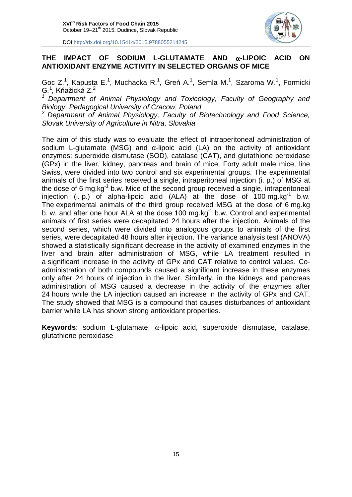

#### **THE IMPACT OF SODIUM L-GLUTAMATE AND -LIPOIC ACID ON ANTIOXIDANT ENZYME ACTIVITY IN SELECTED ORGANS OF MICE**

Goc Z.<sup>1</sup>, Kapusta E.<sup>1</sup>, Muchacka R.<sup>1</sup>, Greń A.<sup>1</sup>, Semla M.<sup>1</sup>, Szaroma W.<sup>1</sup>, Formicki G.<sup>1</sup>, Kňažická Z.<sup>2</sup>

*<sup>1</sup>Department of Animal Physiology and Toxicology, Faculty of Geography and Biology, Pedagogical University of Cracow, Poland*

*<sup>2</sup>Department of Animal Physiology, Faculty of Biotechnology and Food Science, Slovak University of Agriculture in Nitra, Slovakia*

The aim of this study was to evaluate the effect of intraperitoneal administration of sodium L-glutamate (MSG) and α-lipoic acid (LA) on the activity of antioxidant enzymes: superoxide dismutase (SOD), catalase (CAT), and glutathione peroxidase (GPx) in the liver, kidney, pancreas and brain of mice. Forty adult male mice, line Swiss, were divided into two control and six experimental groups. The experimental animals of the first series received a single, intraperitoneal injection (i. p.) of MSG at the dose of 6 mg.kg<sup>-1</sup> b.w. Mice of the second group received a single, intraperitoneal injection (i. p.) of alpha-lipoic acid  $(ALA)$  at the dose of 100 mg.kg<sup>-1</sup> b.w. The experimental animals of the third group received MSG at the dose of 6 mg.kg b. w. and after one hour ALA at the dose 100 mg.kg<sup>-1</sup> b.w. Control and experimental animals of first series were decapitated 24 hours after the injection. Animals of the second series, which were divided into analogous groups to animals of the first series, were decapitated 48 hours after injection. The variance analysis test (ANOVA) showed a statistically significant decrease in the activity of examined enzymes in the liver and brain after administration of MSG, while LA treatment resulted in a significant increase in the activity of GPx and CAT relative to control values. Coadministration of both compounds caused a significant increase in these enzymes only after 24 hours of injection in the liver. Similarly, in the kidneys and pancreas administration of MSG caused a decrease in the activity of the enzymes after 24 hours while the LA injection caused an increase in the activity of GPx and CAT. The study showed that MSG is a compound that causes disturbances of antioxidant barrier while LA has shown strong antioxidant properties.

**Keywords:** sodium L-glutamate,  $\alpha$ -lipoic acid, superoxide dismutase, catalase, glutathione peroxidase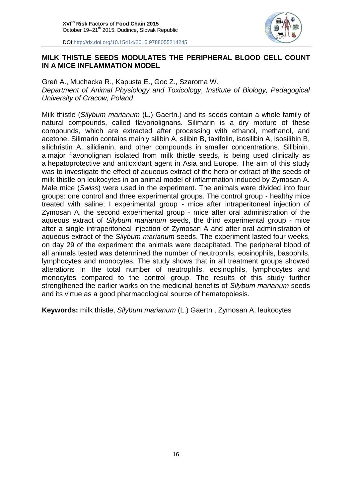

#### **MILK THISTLE SEEDS MODULATES THE PERIPHERAL BLOOD CELL COUNT IN A MICE INFLAMMATION MODEL**

Greń A., Muchacka R., Kapusta E., Goc Z., Szaroma W. *Department of Animal Physiology and Toxicology, Institute of Biology, Pedagogical University of Cracow, Poland*

Milk thistle (*Silybum marianum* (L.) Gaertn.) and its seeds contain a whole family of natural compounds, called flavonolignans. Silimarin is a dry mixture of these compounds, which are extracted after processing with ethanol, methanol, and acetone. Silimarin contains mainly silibin A, silibin B, taxifolin, isosilibin A, isosilibin B, silichristin A, silidianin, and other compounds in smaller concentrations. Silibinin, a major flavonolignan isolated from milk thistle seeds, is being used clinically as a hepatoprotective and antioxidant agent in Asia and Europe. The aim of this study was to investigate the effect of aqueous extract of the herb or extract of the seeds of milk thistle on leukocytes in an animal model of inflammation induced by Zymosan A. Male mice (*Swiss*) were used in the experiment. The animals were divided into four groups: one control and three experimental groups. The control group - healthy mice treated with saline; I experimental group - mice after intraperitoneal injection of Zymosan A, the second experimental group - mice after oral administration of the aqueous extract of *Silybum marianum* seeds, the third experimental group - mice after a single intraperitoneal injection of Zymosan A and after oral administration of aqueous extract of the *Silybum marianum* seeds. The experiment lasted four weeks, on day 29 of the experiment the animals were decapitated. The peripheral blood of all animals tested was determined the number of neutrophils, eosinophils, basophils, lymphocytes and monocytes. The study shows that in all treatment groups showed alterations in the total number of neutrophils, eosinophils, lymphocytes and monocytes compared to the control group. The results of this study further strengthened the earlier works on the medicinal benefits of *Silybum marianum* seeds and its virtue as a good pharmacological source of hematopoiesis.

**Keywords:** milk thistle, *Silybum marianum* (L.) Gaertn , Zymosan A, leukocytes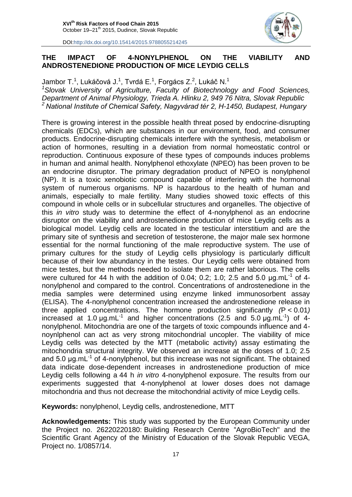

#### **THE IMPACT OF 4-NONYLPHENOL ON THE VIABILITY AND ANDROSTENEDIONE PRODUCTION OF MICE LEYDIG CELLS**

Jambor T. $^1$ , Lukáčová J. $^1$ , Tvrdá E. $^1$ , Forgács Z. $^2$ , Lukáč N. $^1$ *<sup>1</sup>Slovak University of Agriculture, Faculty of Biotechnology and Food Sciences, Department of Animal Physiology, Trieda A. Hlinku 2, 949 76 Nitra, Slovak Republic <sup>2</sup>National Institute of Chemical Safety, Nagyvárad tér 2, H-1450, Budapest, Hungary*

There is growing interest in the possible health threat posed by endocrine-disrupting chemicals (EDCs), which are substances in our environment, food, and consumer products. Endocrine-disrupting chemicals interfere with the synthesis, metabolism or action of hormones, resulting in a deviation from normal homeostatic control or reproduction. Continuous exposure of these types of compounds induces problems in human and animal health. Nonylphenol ethoxylate (NPEO) has been proven to be an endocrine disruptor. The primary degradation product of NPEO is nonylphenol (NP). It is a toxic xenobiotic compound capable of interfering with the hormonal system of numerous organisms. NP is hazardous to the health of human and animals, especially to male fertility. Many studies showed toxic effects of this compound in whole cells or in subcellular structures and organelles. The objective of this *in vitro* study was to determine the effect of 4-nonylphenol as an endocrine disruptor on the viability and androstenedione production of mice Leydig cells as a biological model. Leydig cells are located in the testicular interstitium and are the primary site of synthesis and secretion of testosterone, the major male sex hormone essential for the normal functioning of the male reproductive system. The use of primary cultures for the study of Leydig cells physiology is particularly difficult because of their low abundancy in the testes. Our Leydig cells were obtained from mice testes, but the methods needed to isolate them are rather laborious. The cells were cultured for 44 h with the addition of 0.04; 0.2; 1.0; 2.5 and 5.0  $\mu$ g.mL<sup>-1</sup> of 4nonylphenol and compared to the control. Concentrations of androstenedione in the media samples were determined using enzyme linked immunosorbent assay (ELISA). The 4-nonylphenol concentration increased the androstenedione release in three applied concentrations. The hormone production significantly *(*P < 0.01*)* increased at 1.0  $\mu$ g.mL<sup>-1</sup> and higher concentrations (2.5 and 5.0  $\mu$ g.mL<sup>-1</sup>) of 4nonylphenol. Mitochondria are one of the targets of toxic compounds influence and 4 noynlphenol can act as very strong mitochondrial uncopler. The viability of mice Leydig cells was detected by the MTT (metabolic activity) assay estimating the mitochondria structural integrity. We observed an increase at the doses of 1.0; 2.5 and  $5.0 \mu g.mL^{-1}$  of 4-nonylphenol, but this increase was not significant. The obtained data indicate dose-dependent increases in androstenedione production of mice Leydig cells following a 44 h *in vitro* 4-nonylphenol exposure. The results from our experiments suggested that 4-nonylphenol at lower doses does not damage mitochondria and thus not decrease the mitochondrial activity of mice Leydig cells.

**Keywords:** nonylphenol, Leydig cells, androstenedione, MTT

**Acknowledgements:** This study was supported by the European Community under the Project no. 26220220180: Building Research Centre "AgroBioTech" and the Scientific Grant Agency of the Ministry of Education of the Slovak Republic VEGA, Project no. 1/0857/14.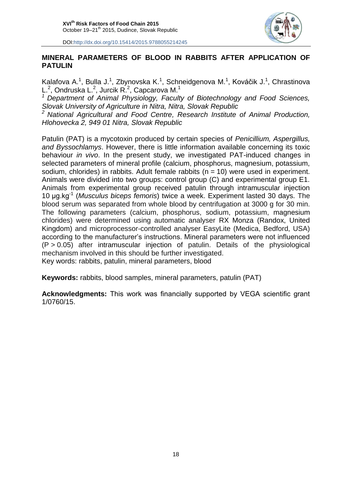

#### **MINERAL PARAMETERS OF BLOOD IN RABBITS AFTER APPLICATION OF PATULIN**

Kalafova A.<sup>1</sup>, Bulla J.<sup>1</sup>, Zbynovska K.<sup>1</sup>, Schneidgenova M.<sup>1</sup>, Kováčik J.<sup>1</sup>, Chrastinova L.<sup>2</sup>, Ondruska L.<sup>2</sup>, Jurcik R.<sup>2</sup>, Capcarova M.<sup>1</sup>

*<sup>1</sup> Department of Animal Physiology, Faculty of Biotechnology and Food Sciences, Slovak University of Agriculture in Nitra, Nitra, Slovak Republic*

*<sup>2</sup> National Agricultural and Food Centre, Research Institute of Animal Production, Hlohovecka 2, 949 01 Nitra, Slovak Republic*

Patulin (PAT) is a mycotoxin produced by certain species of *Penicillium, Aspergillus, and Byssochlamys*. However, there is little information available concerning its toxic behaviour *in vivo*. In the present study, we investigated PAT-induced changes in selected parameters of mineral profile (calcium, phosphorus, magnesium, potassium, sodium, chlorides) in rabbits. Adult female rabbits ( $n = 10$ ) were used in experiment. Animals were divided into two groups: control group (C) and experimental group E1. Animals from experimental group received patulin through intramuscular injection 10 µg.kg-1 (*Musculus biceps femoris*) twice a week. Experiment lasted 30 days. The blood serum was separated from whole blood by centrifugation at 3000 g for 30 min. The following parameters (calcium, phosphorus, sodium, potassium, magnesium chlorides) were determined using automatic analyser RX Monza (Randox, United Kingdom) and microprocessor-controlled analyser EasyLite (Medica, Bedford, USA) according to the manufacturer's instructions. Mineral parameters were not influenced  $(P > 0.05)$  after intramuscular injection of patulin. Details of the physiological mechanism involved in this should be further investigated. Key words: rabbits, patulin, mineral parameters, blood

**Keywords:** rabbits, blood samples, mineral parameters, patulin (PAT)

**Acknowledgments:** This work was financially supported by VEGA scientific grant 1/0760/15.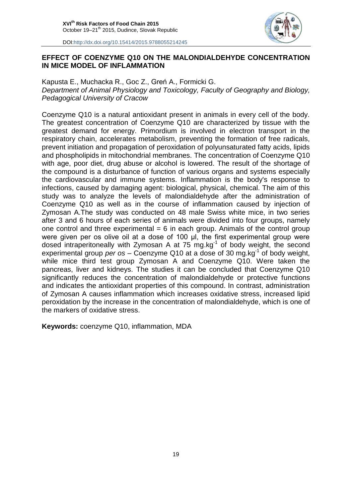

#### **EFFECT OF COENZYME Q10 ON THE MALONDIALDEHYDE CONCENTRATION IN MICE MODEL OF INFLAMMATION**

Kapusta E., Muchacka R., Goc Z., Greń A., Formicki G. *Department of Animal Physiology and Toxicology, Faculty of Geography and Biology, Pedagogical University of Cracow*

Coenzyme Q10 is a natural antioxidant present in animals in every cell of the body. The greatest concentration of Coenzyme Q10 are characterized by tissue with the greatest demand for energy. Primordium is involved in electron transport in the respiratory chain, accelerates metabolism, preventing the formation of free radicals, prevent initiation and propagation of peroxidation of polyunsaturated fatty acids, lipids and phospholipids in mitochondrial membranes. The concentration of Coenzyme Q10 with age, poor diet, drug abuse or alcohol is lowered. The result of the shortage of the compound is a disturbance of function of various organs and systems especially the cardiovascular and immune systems. Inflammation is the body's response to infections, caused by damaging agent: biological, physical, chemical. The aim of this study was to analyze the levels of malondialdehyde after the administration of Coenzyme Q10 as well as in the course of inflammation caused by injection of Zymosan A.The study was conducted on 48 male Swiss white mice, in two series after 3 and 6 hours of each series of animals were divided into four groups, namely one control and three experimental  $= 6$  in each group. Animals of the control group were given per os olive oil at a dose of 100 µl, the first experimental group were dosed intraperitoneally with Zymosan A at 75 mg.kg<sup>-1</sup> of body weight, the second experimental group *per os* – Coenzyme Q10 at a dose of 30 mg.kg<sup>-1</sup> of body weight, while mice third test group Zymosan A and Coenzyme Q10. Were taken the pancreas, liver and kidneys. The studies it can be concluded that Coenzyme Q10 significantly reduces the concentration of malondialdehyde or protective functions and indicates the antioxidant properties of this compound. In contrast, administration of Zymosan A causes inflammation which increases oxidative stress, increased lipid peroxidation by the increase in the concentration of malondialdehyde, which is one of the markers of oxidative stress.

**Keywords:** coenzyme Q10, inflammation, MDA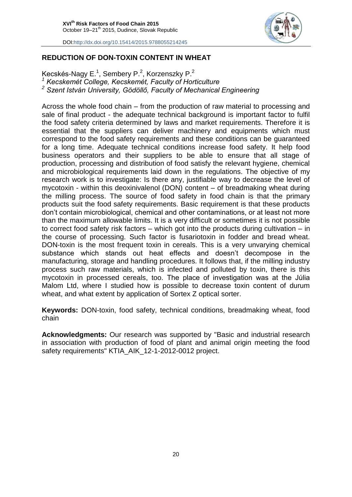

#### **REDUCTION OF DON-TOXIN CONTENT IN WHEAT**

Kecskés-Nagy E.<sup>1</sup>, Sembery P.<sup>2</sup>, Korzenszky P.<sup>2</sup>

*<sup>1</sup> Kecskemét College, Kecskemét, Faculty of Horticulture*

*<sup>2</sup> Szent István University, Gödöllő, Faculty of Mechanical Engineering*

Across the whole food chain – from the production of raw material to processing and sale of final product - the adequate technical background is important factor to fulfil the food safety criteria determined by laws and market requirements. Therefore it is essential that the suppliers can deliver machinery and equipments which must correspond to the food safety requirements and these conditions can be guaranteed for a long time. Adequate technical conditions increase food safety. It help food business operators and their suppliers to be able to ensure that all stage of production, processing and distribution of food satisfy the relevant hygiene, chemical and microbiological requirements laid down in the regulations. The objective of my research work is to investigate: Is there any, justifiable way to decrease the level of mycotoxin - within this deoxinivalenol (DON) content – of breadmaking wheat during the milling process. The source of food safety in food chain is that the primary products suit the food safety requirements. Basic requirement is that these products don't contain microbiological, chemical and other contaminations, or at least not more than the maximum allowable limits. It is a very difficult or sometimes it is not possible to correct food safety risk factors – which got into the products during cultivation – in the course of processing. Such factor is fusariotoxin in fodder and bread wheat. DON-toxin is the most frequent toxin in cereals. This is a very unvarying chemical substance which stands out heat effects and doesn't decompose in the manufacturing, storage and handling procedures. It follows that, if the milling industry process such raw materials, which is infected and polluted by toxin, there is this mycotoxin in processed cereals, too. The place of investigation was at the Júlia Malom Ltd, where I studied how is possible to decrease toxin content of durum wheat, and what extent by application of Sortex Z optical sorter.

**Keywords:** DON-toxin, food safety, technical conditions, breadmaking wheat, food chain

**Acknowledgments:** Our research was supported by "Basic and industrial research in association with production of food of plant and animal origin meeting the food safety requirements" KTIA\_AIK\_12-1-2012-0012 project.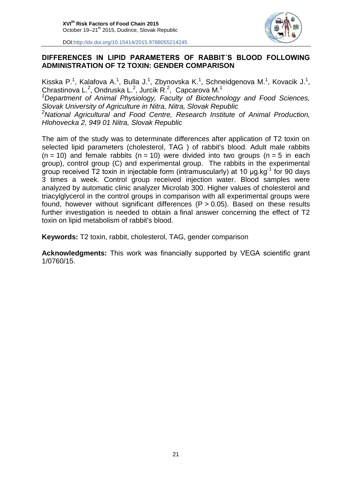

#### **DIFFERENCES IN LIPID PARAMETERS OF RABBIT´S BLOOD FOLLOWING ADMINISTRATION OF T2 TOXIN: GENDER COMPARISON**

Kisska P.<sup>1</sup>, Kalafova A.<sup>1</sup>, Bulla J.<sup>1</sup>, Zbynovska K.<sup>1</sup>, Schneidgenova M.<sup>1</sup>, Kovacik J.<sup>1</sup>, Chrastinova L.<sup>2</sup>, Ondruska L.<sup>2</sup>, Jurcik R.<sup>2</sup>, Capcarova M.<sup>1</sup>

*<sup>1</sup>Department of Animal Physiology, Faculty of Biotechnology and Food Sciences, Slovak University of Agriculture in Nitra, Nitra, Slovak Republic*

*<sup>2</sup>National Agricultural and Food Centre, Research Institute of Animal Production, Hlohovecka 2, 949 01 Nitra, Slovak Republic*

The aim of the study was to determinate differences after application of T2 toxin on selected lipid parameters (cholesterol, TAG ) of rabbit's blood. Adult male rabbits  $(n = 10)$  and female rabbits  $(n = 10)$  were divided into two groups  $(n = 5)$  in each group), control group (C) and experimental group. The rabbits in the experimental group received  $\bar{T}2$  toxin in injectable form (intramuscularly) at 10  $\mu$ g.kg<sup>-1</sup> for 90 days 3 times a week. Control group received injection water. Blood samples were analyzed by automatic clinic analyzer Microlab 300. Higher values of cholesterol and triacylglycerol in the control groups in comparison with all experimental groups were found, however without significant differences  $(P > 0.05)$ . Based on these results further investigation is needed to obtain a final answer concerning the effect of T2 toxin on lipid metabolism of rabbit's blood.

**Keywords:** T2 toxin, rabbit, cholesterol, TAG, gender comparison

**Acknowledgments:** This work was financially supported by VEGA scientific grant 1/0760/15.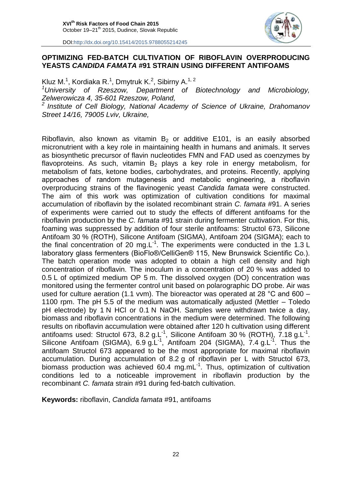

#### **OPTIMIZING FED-BATCH CULTIVATION OF RIBOFLAVIN OVERPRODUCING YEASTS** *CANDIDA FAMATA* **#91 STRAIN USING DIFFERENT ANTIFOAMS**

Kluz M.<sup>1</sup>, Kordiaka R.<sup>1</sup>, Dmytruk K.<sup>2</sup>, Sibirny A.<sup>1, 2</sup> *<sup>1</sup>University of Rzeszow, Department of Biotechnology and Microbiology, Zelwerowicza 4, 35-601 Rzeszow, Poland, <sup>2</sup>Institute of Cell Biology, National Academy of Science of Ukraine, Drahomanov Street 14/16, 79005 Lviv, Ukraine,*

Riboflavin, also known as vitamin  $B<sub>2</sub>$  or additive E101, is an easily absorbed micronutrient with a key role in maintaining health in humans and animals. It serves as biosynthetic precursor of flavin nucleotides FMN and FAD used as coenzymes by flavoproteins. As such, vitamin  $B_2$  plays a key role in energy metabolism, for metabolism of fats, ketone bodies, carbohydrates, and proteins. Recently, applying approaches of random mutagenesis and metabolic engineering, a riboflavin overproducing strains of the flavinogenic yeast *Candida famata* were constructed. The aim of this work was optimization of cultivation conditions for maximal accumulation of riboflavin by the isolated recombinant strain *C. famata* #91. A series of experiments were carried out to study the effects of different antifoams for the riboflavin production by the *C. famata* #91 strain during fermenter cultivation. For this, foaming was suppressed by addition of four sterile antifoams: Structol 673, Silicone Antifoam 30 % (ROTH), Silicone Antifoam (SIGMA), Antifoam 204 (SIGMA); each to the final concentration of 20 mg.L $^{-1}$ . The experiments were conducted in the 1.3 L laboratory glass fermenters (BioFlo®/CelliGen® 115, New Brunswick Scientific Co.). The batch operation mode was adopted to obtain a high cell density and high concentration of riboflavin. The inoculum in a concentration of 20 % was added to 0.5 L of optimized medium OP 5 m. The dissolved oxygen (DO) concentration was monitored using the fermenter control unit based on polarographic DO probe. Air was used for culture aeration (1.1 vvm). The bioreactor was operated at 28 °C and 600 – 1100 rpm. The pH 5.5 of the medium was automatically adjusted (Mettler – Toledo pH electrode) by 1 N HCl or 0.1 N NaOH. Samples were withdrawn twice a day, biomass and riboflavin concentrations in the medium were determined. The following results on riboflavin accumulation were obtained after 120 h cultivation using different antifoams used: Structol 673, 8.2 g.L<sup>-1</sup>, Silicone Antifoam 30 % (ROTH), 7.18 g.L<sup>-1</sup>. Silicone Antifoam (SIGMA), 6.9 g.L<sup>-1</sup>, Antifoam 204 (SIGMA), 7.4 g.L<sup>-1</sup>. Thus the antifoam Structol 673 appeared to be the most appropriate for maximal riboflavin accumulation. During accumulation of 8.2 g of riboflavin per L with Structol 673, biomass production was achieved 60.4 mg.mL $<sup>1</sup>$ . Thus, optimization of cultivation</sup> conditions led to a noticeable improvement in riboflavin production by the recombinant *C. famata* strain #91 during fed-batch cultivation.

**Keywords:** riboflavin, *Candida famata* #91, antifoams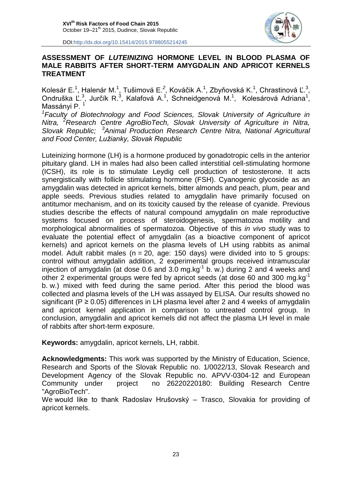

#### **ASSESSMENT OF** *LUTEINIZING* **HORMONE LEVEL IN BLOOD PLASMA OF MALE RABBITS AFTER SHORT-TERM AMYGDALIN AND APRICOT KERNELS TREATMENT**

Kolesár E.<sup>1</sup>, [Halenár](https://is.uniag.sk/lide/clovek.pl?id=32390;quick=1) M.<sup>1</sup>, Tušimová E.<sup>2</sup>, Kováčik A.<sup>1</sup>, Zbyňovská K.<sup>1</sup>, Chrastinová Ľ.<sup>3</sup>, Ondruška Ľ.<sup>3</sup>, Jurčík R.<sup>3</sup>, Kalafová A.<sup>1</sup>, [Schneidgenová](https://is.uniag.sk/lide/clovek.pl?id=1049;quick=1) M.<sup>1</sup>, [Kolesárová](https://is.uniag.sk/lide/clovek.pl?id=1505;quick=1) Adriana<sup>1</sup>, [Massányi](https://is.uniag.sk/lide/clovek.pl?id=1345;quick=1) P.<sup>1</sup>

<sup>1</sup> Faculty of Biotechnology and Food Sciences, Slovak University of Agriculture in *Nitra, <sup>2</sup>Research Centre AgroBioTech, Slovak University of Agriculture in Nitra, Slovak Republic; <sup>3</sup>Animal Production Research Centre Nitra, National Agricultural and Food Center, Lužianky, Slovak Republic*

Luteinizing hormone (LH) is a hormone produced by gonadotropic cells in the anterior pituitary gland. LH in males had also been called interstitial cell-stimulating hormone (ICSH), its role is to stimulate [Leydig cell](https://en.wikipedia.org/wiki/Leydig_cell) production of [testosterone.](https://en.wikipedia.org/wiki/Testosterone) It acts synergistically with follicle stimulating hormone (FSH). Cyanogenic glycoside as an amygdalin was detected in apricot kernels, bitter almonds and peach, plum, pear and apple seeds. Previous studies related to amygdalin have primarily focused on antitumor mechanism, and on its toxicity caused by the release of cyanide. Previous studies describe the effects of natural compound amygdalin on male reproductive systems focused on process of steroidogenesis, spermatozoa motility and morphological abnormalities of spermatozoa. Objective of this *in vivo* study was to evaluate the potential effect of amygdalin (as a bioactive component of apricot kernels) and apricot kernels on the plasma levels of LH using rabbits as animal model. Adult rabbit males ( $n = 20$ , age: 150 days) were divided into to 5 groups: control without amygdalin addition, 2 experimental groups received intramuscular injection of amygdalin (at dose 0.6 and 3.0 mg.kg $^{-1}$  b. w.) during 2 and 4 weeks and other 2 experimental groups were fed by apricot seeds (at dose 60 and 300 mg.kg<sup>-1</sup> b. w.) mixed with feed during the same period. After this period the blood was collected and plasma levels of the LH was assayed by ELISA. Our results showed no significant ( $P \ge 0.05$ ) differences in LH plasma level after 2 and 4 weeks of amygdalin and apricot kernel application in comparison to untreated control group. In conclusion, amygdalin and apricot kernels did not affect the plasma LH level in male of rabbits after short-term exposure.

**Keywords:** amygdalin, apricot kernels, LH, rabbit.

**Acknowledgments:** This work was supported by the Ministry of Education, Science, Research and Sports of the Slovak Republic no. 1/0022/13, Slovak Research and Development Agency of the Slovak Republic no. APVV-0304-12 and European Community under project no 26220220180: Building Research Centre "AgroBioTech".

We would like to thank Radoslav Hrušovský – Trasco, Slovakia for providing of apricot kernels.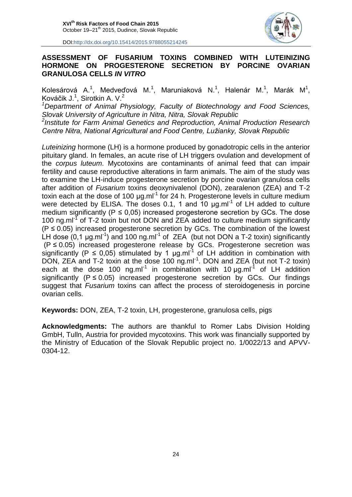

#### **ASSESSMENT OF FUSARIUM TOXINS COMBINED WITH LUTEINIZING HORMONE ON PROGESTERONE SECRETION BY PORCINE OVARIAN GRANULOSA CELLS** *IN VITRO*

Kolesárová A.<sup>1</sup>, Medveďová M.<sup>1</sup>, Maruniaková N.<sup>1</sup>, Halenár M.<sup>1</sup>, Marák M<sup>1</sup>, Kováčik J.<sup>1</sup>, Sirotkin A. V.<sup>2</sup>

*<sup>1</sup>Department of Animal Physiology, Faculty of Biotechnology and Food Sciences, Slovak University of Agriculture in Nitra, Nitra, Slovak Republic*

*2 Institute for Farm Animal Genetics and Reproduction, Animal Production Research Centre Nitra, National Agricultural and Food Centre, Lužianky, Slovak Republic*

*Luteinizing* hormone (LH) is a hormone produced by gonadotropic cells in the anterior pituitary gland. In females, an acute rise of LH triggers ovulation and development of the *corpus luteum*. Mycotoxins are contaminants of animal feed that can impair fertility and cause reproductive alterations in farm animals. The aim of the study was to examine the LH-induce progesterone secretion by porcine ovarian granulosa cells after addition of *Fusarium* toxins deoxynivalenol (DON), zearalenon (ZEA) and T-2 toxin each at the dose of 100  $\mu$ g.ml<sup>-1</sup> for 24 h. Progesterone levels in culture medium were detected by ELISA. The doses 0.1, 1 and 10  $\mu$ g.ml<sup>-1</sup> of LH added to culture medium significantly ( $P \le 0.05$ ) increased progesterone secretion by GCs. The dose 100 ng.ml $<sup>1</sup>$  of T-2 toxin but not DON and ZEA added to culture medium significantly</sup>  $(P \le 0.05)$  increased progesterone secretion by GCs. The combination of the lowest LH dose  $(0,1 \mu g.m^{-1})$  and 100 ng.ml<sup>-1</sup> of ZEA (but not DON a T-2 toxin) significantly (P ≤ 0.05) increased progesterone release by GCs. Progesterone secretion was significantly (P  $\leq$  0,05) stimulated by 1  $\mu$ g.ml<sup>-1</sup> of LH addition in combination with DON, ZEA and T-2 toxin at the dose 100 ng.ml<sup>-1</sup>. DON and ZEA (but not T-2 toxin) each at the dose 100 ng.ml<sup>-1</sup> in combination with 10  $\mu$ g.ml<sup>-1</sup> of LH addition significantly ( $P \le 0.05$ ) increased progesterone secretion by GCs. Our findings suggest that *Fusarium* toxins can affect the process of steroidogenesis in porcine ovarian cells.

**Keywords:** DON, ZEA, T-2 toxin, LH, progesterone, granulosa cells, pigs

**Acknowledgments:** The authors are thankful to Romer Labs Division Holding GmbH, Tulln, Austria for provided mycotoxins. This work was financially supported by the Ministry of Education of the Slovak Republic project no. 1/0022/13 and APVV-0304-12.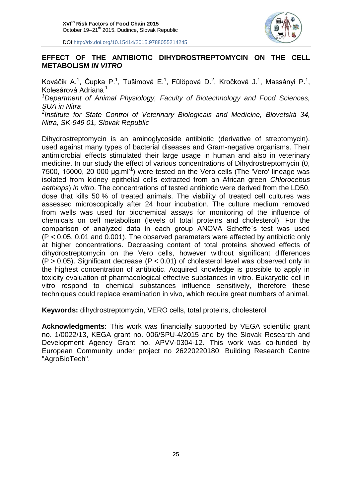

#### **EFFECT OF THE ANTIBIOTIC DIHYDROSTREPTOMYCIN ON THE CELL METABOLISM** *IN VITRO*

Kováčik A.<sup>1</sup>, Čupka P.<sup>1</sup>, Tušimová E.<sup>1</sup>, Fülöpová D.<sup>2</sup>, Kročková J.<sup>1</sup>, Massányi P.<sup>1</sup>, Kolesárová Adriana<sup>1</sup>

*<sup>1</sup>Department of Animal Physiology, Faculty of Biotechnology and Food Sciences, SUA in Nitra*

*2 Institute for State Control of Veterinary Biologicals and Medicine, Biovetská 34, Nitra, SK-949 01, Slovak Republic*

Dihydrostreptomycin is an aminoglycoside antibiotic (derivative of streptomycin), used against many types of bacterial diseases and Gram-negative organisms. Their antimicrobial effects stimulated their large usage in human and also in veterinary medicine. In our study the effect of various concentrations of Dihydrostreptomycin (0, 7500, 15000, 20 000 µg.ml<sup>-1</sup>) were tested on the Vero cells (The 'Vero' lineage was isolated from kidney epithelial cells extracted from an African green *Chlorocebus aethiops*) *in vitro*. The concentrations of tested antibiotic were derived from the LD50, dose that kills 50 % of treated animals. The viability of treated cell cultures was assessed microscopically after 24 hour incubation. The culture medium removed from wells was used for biochemical assays for monitoring of the influence of chemicals on cell metabolism (levels of total proteins and cholesterol). For the comparison of analyzed data in each group ANOVA Scheffe´s test was used (P < 0.05, 0.01 and 0.001). The observed parameters were affected by antibiotic only at higher concentrations. Decreasing content of total proteins showed effects of dihydrostreptomycin on the Vero cells, however without significant differences  $(P > 0.05)$ . Significant decrease  $(P < 0.01)$  of cholesterol level was observed only in the highest concentration of antibiotic. Acquired knowledge is possible to apply in toxicity evaluation of pharmacological effective substances in vitro. Eukaryotic cell in vitro respond to chemical substances influence sensitively, therefore these techniques could replace examination in vivo, which require great numbers of animal.

**Keywords:** dihydrostreptomycin, VERO cells, total proteins, cholesterol

**Acknowledgments:** This work was financially supported by VEGA scientific grant no. 1/0022/13, KEGA grant no. 006/SPU-4/2015 and by the Slovak Research and Development Agency Grant no. APVV-0304-12. This work was co-funded by European Community under project no 26220220180: Building Research Centre "AgroBioTech".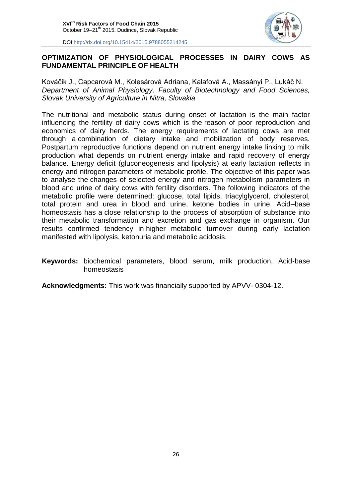

#### **OPTIMIZATION OF PHYSIOLOGICAL PROCESSES IN DAIRY COWS AS FUNDAMENTAL PRINCIPLE OF HEALTH**

Kováčik J., Capcarová M., Kolesárová Adriana, Kalafová A., Massányi P., Lukáč N. *Department of Animal Physiology, Faculty of Biotechnology and Food Sciences, Slovak University of Agriculture in Nitra, Slovakia*

The nutritional and metabolic status during onset of lactation is the main factor influencing the fertility of dairy cows which is the reason of poor reproduction and economics of dairy herds. The energy requirements of lactating cows are met through a combination of dietary intake and mobilization of body reserves. Postpartum reproductive functions depend on nutrient energy intake linking to milk production what depends on nutrient energy intake and rapid recovery of energy balance. Energy deficit (gluconeogenesis and lipolysis) at early lactation reflects in energy and nitrogen parameters of metabolic profile. The objective of this paper was to analyse the changes of selected energy and nitrogen metabolism parameters in blood and urine of dairy cows with fertility disorders. The following indicators of the metabolic profile were determined: glucose, total lipids, triacylglycerol, cholesterol, total protein and urea in blood and urine, ketone bodies in urine. Acid–base homeostasis has a close relationship to the process of absorption of substance into their metabolic transformation and excretion and gas exchange in organism. Our results confirmed tendency in higher metabolic turnover during early lactation manifested with lipolysis, ketonuria and metabolic acidosis.

#### **Keywords:** biochemical parameters, blood serum, milk production, Acid-base homeostasis

**Acknowledgments:** This work was financially supported by APVV- 0304-12.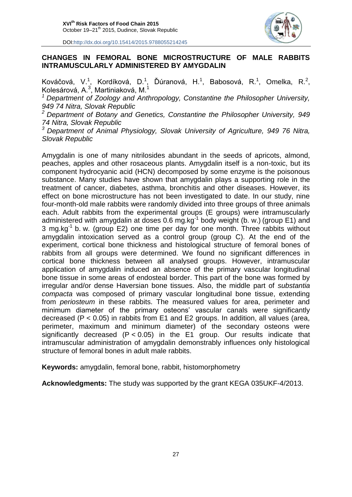

#### **CHANGES IN FEMORAL BONE MICROSTRUCTURE OF MALE RABBITS INTRAMUSCULARLY ADMINISTERED BY AMYGDALIN**

Kováčová, V.<sup>1</sup>, Kordíková, D.<sup>1</sup>, Ďúranová, H.<sup>1</sup>, Babosová, R.<sup>1</sup>, Omelka, R.<sup>2</sup>, Kolesárová, A.<sup>3</sup>, Martiniaková, M.<sup>1</sup>

*<sup>1</sup> Department of Zoology and Anthropology, Constantine the Philosopher University, 949 74 Nitra, Slovak Republic*

*<sup>2</sup> Department of Botany and Genetics, Constantine the Philosopher University, 949 74 Nitra, Slovak Republic*

*<sup>3</sup> Department of Animal Physiology, Slovak University of Agriculture, 949 76 Nitra, Slovak Republic*

Amygdalin is one of many nitrilosides abundant in the seeds of apricots, almond, peaches, apples and other rosaceous plants. Amygdalin itself is a non-toxic, but its component hydrocyanic acid (HCN) decomposed by some enzyme is the poisonous substance. Many studies have shown that amygdalin plays a supporting role in the treatment of cancer, diabetes, asthma, bronchitis and other diseases. However, its effect on bone microstructure has not been investigated to date. In our study, nine four-month-old male rabbits were randomly divided into three groups of three animals each. Adult rabbits from the experimental groups (E groups) were intramuscularly administered with amygdalin at doses 0.6 mg.kg $^{-1}$  body weight (b. w.) (group E1) and 3 mg.kg $^{-1}$  b. w. (group E2) one time per day for one month. Three rabbits without amygdalin intoxication served as a control group (group C). At the end of the experiment, cortical bone thickness and histological structure of femoral bones of rabbits from all groups were determined. We found no significant differences in cortical bone thickness between all analysed groups. However, intramuscular application of amygdalin induced an absence of the primary vascular longitudinal bone tissue in some areas of endosteal border. This part of the bone was formed by irregular and/or dense Haversian bone tissues. Also, the middle part of *substantia compacta* was composed of primary vascular longitudinal bone tissue, extending from *periosteum* in these rabbits. The measured values for area, perimeter and minimum diameter of the primary osteons' vascular canals were significantly decreased (P < 0.05) in rabbits from E1 and E2 groups. In addition, all values (area, perimeter, maximum and minimum diameter) of the secondary osteons were significantly decreased  $(P < 0.05)$  in the E1 group. Our results indicate that intramuscular administration of amygdalin demonstrably influences only histological structure of femoral bones in adult male rabbits.

**Keywords:** amygdalin, femoral bone, rabbit, histomorphometry

**Acknowledgments:** The study was supported by the grant KEGA 035UKF-4/2013.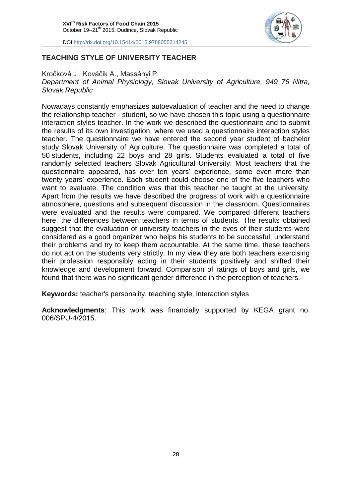

#### **TEACHING STYLE OF UNIVERSITY TEACHER**

Kročková J., Kováčik A., Massányi P. *Department of Animal Physiology, Slovak University of Agriculture, 949 76 Nitra, Slovak Republic*

Nowadays constantly emphasizes autoevaluation of teacher and the need to change the relationship teacher - student, so we have chosen this topic using a questionnaire interaction styles teacher. In the work we described the questionnaire and to submit the results of its own investigation, where we used a questionnaire interaction styles teacher. The questionnaire we have entered the second year student of bachelor study Slovak University of Agriculture. The questionnaire was completed a total of 50 students, including 22 boys and 28 girls. Students evaluated a total of five randomly selected teachers Slovak Agricultural University. Most teachers that the questionnaire appeared, has over ten years' experience, some even more than twenty years' experience. Each student could choose one of the five teachers who want to evaluate. The condition was that this teacher he taught at the university. Apart from the results we have described the progress of work with a questionnaire atmosphere, questions and subsequent discussion in the classroom. Questionnaires were evaluated and the results were compared. We compared different teachers here, the differences between teachers in terms of students. The results obtained suggest that the evaluation of university teachers in the eyes of their students were considered as a good organizer who helps his students to be successful, understand their problems and try to keep them accountable. At the same time, these teachers do not act on the students very strictly. In my view they are both teachers exercising their profession responsibly acting in their students positively and shifted their knowledge and development forward. Comparison of ratings of boys and girls, we found that there was no significant gender difference in the perception of teachers.

**Keywords:** teacher's personality, teaching style, interaction styles

**Acknowledgments**: This work was financially supported by KEGA grant no. 006/SPU-4/2015.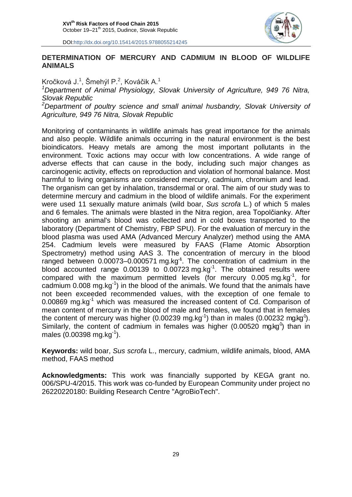

#### **DETERMINATION OF MERCURY AND CADMIUM IN BLOOD OF WILDLIFE ANIMALS**

Kročková J.<sup>1</sup>, Šmehýl P.<sup>2</sup>, Kováčik A.<sup>1</sup>

*<sup>1</sup>Department of Animal Physiology, Slovak University of Agriculture, 949 76 Nitra, Slovak Republic*

*<sup>2</sup>Department of poultry science and small animal husbandry, Slovak University of Agriculture, 949 76 Nitra, Slovak Republic*

Monitoring of contaminants in wildlife animals has great importance for the animals and also people. Wildlife animals occurring in the natural environment is the best bioindicators. Heavy metals are among the most important pollutants in the environment. Toxic actions may occur with low concentrations. A wide range of adverse effects that can cause in the body, including such major changes as carcinogenic activity, effects on reproduction and violation of hormonal balance. Most harmful to living organisms are considered mercury, cadmium, chromium and lead. The organism can get by inhalation, transdermal or oral. The aim of our study was to determine mercury and cadmium in the blood of wildlife animals. For the experiment were used 11 sexually mature animals (wild boar, *Sus scrofa* L*.*) of which 5 males and 6 females. The animals were blasted in the Nitra region, area Topolčianky. After shooting an animal's blood was collected and in cold boxes transported to the laboratory (Department of Chemistry, FBP SPU). For the evaluation of mercury in the blood plasma was used AMA (Advanced Mercury Analyzer) method using the AMA 254. Cadmium levels were measured by FAAS (Flame Atomic Absorption Spectrometry) method using AAS 3. The concentration of mercury in the blood ranged between 0.00073–0.000571 mg.kg**-1** . The concentration of cadmium in the blood accounted range  $0.00139$  to  $0.00723$  mg.kg<sup>-1</sup>. The obtained results were compared with the maximum permitted levels (for mercury 0.005 mg.kg<sup>-1</sup>, for cadmium  $0.008$  mg.kg<sup>-1</sup>) in the blood of the animals. We found that the animals have not been exceeded recommended values, with the exception of one female to 0.00869 mg.kg $^{-1}$  which was measured the increased content of Cd. Comparison of mean content of mercury in the blood of male and females, we found that in females the content of mercury was higher (0.00239 mg.kg<sup>-1</sup>) than in males (0.00232 mg.kg<sup>-1</sup>). Similarly, the content of cadmium in females was higher  $(0.00520 \text{ mg} \text{kg}^1)$  than in males  $(0.00398 \text{ mg} \cdot \text{kg}^{-1})$ .

**Keywords:** wild boar, *Sus scrofa* L., mercury, cadmium, wildlife animals, blood, AMA method, FAAS method

**Acknowledgments:** This work was financially supported by KEGA grant no. 006/SPU-4/2015. This work was co-funded by European Community under project no 26220220180: Building Research Centre "AgroBioTech".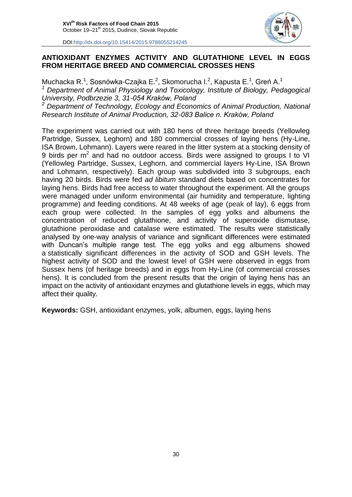

#### **ANTIOXIDANT ENZYMES ACTIVITY AND GLUTATHIONE LEVEL IN EGGS FROM HERITAGE BREED AND COMMERCIAL CROSSES HENS**

Muchacka R.<sup>1</sup>, Sosnówka-Czajka E.<sup>2</sup>, Skomorucha I.<sup>2</sup>, Kapusta E.<sup>1</sup>, Greń A.<sup>1</sup> *<sup>1</sup> Department of Animal Physiology and Toxicology, Institute of Biology, Pedagogical University, Podbrzezie 3, 31-054 Kraków, Poland <sup>2</sup> Department of Technology, Ecology and Economics of Animal Production, National Research Institute of Animal Production, 32-083 Balice n. Kraków, Poland*

The experiment was carried out with 180 hens of three heritage breeds (Yellowleg Partridge, Sussex, Leghorn) and 180 commercial crosses of laying hens (Hy-Line, ISA Brown, Lohmann). Layers were reared in the litter system at a stocking density of 9 birds per  $m^2$  and had no outdoor access. Birds were assigned to groups I to VI (Yellowleg Partridge, Sussex, Leghorn, and commercial layers Hy-Line, ISA Brown and Lohmann, respectively). Each group was subdivided into 3 subgroups, each having 20 birds. Birds were fed *ad libitum* standard diets based on concentrates for laying hens. Birds had free access to water throughout the experiment. All the groups were managed under uniform environmental (air humidity and temperature, lighting programme) and feeding conditions. At 48 weeks of age (peak of lay), 6 eggs from each group were collected. In the samples of egg yolks and albumens the concentration of reduced glutathione, and activity of superoxide dismutase, glutathione peroxidase and catalase were estimated. The results were statistically analysed by one-way analysis of variance and significant differences were estimated with Duncan's multiple range test. The egg yolks and egg albumens showed a statistically significant differences in the activity of SOD and GSH levels. The highest activity of SOD and the lowest level of GSH were observed in eggs from Sussex hens (of heritage breeds) and in eggs from Hy-Line (of commercial crosses hens). It is concluded from the present results that the origin of laying hens has an impact on the activity of antioxidant enzymes and glutathione levels in eggs, which may affect their quality.

**Keywords:** GSH, antioxidant enzymes, yolk, albumen, eggs, laying hens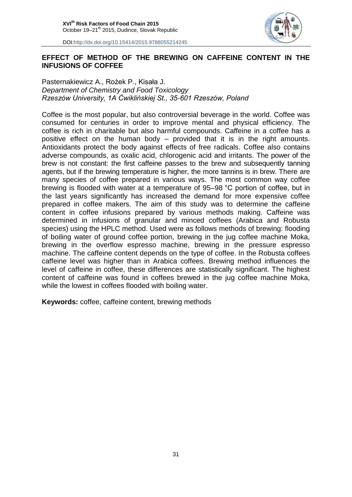

#### **EFFECT OF METHOD OF THE BREWING ON CAFFEINE CONTENT IN THE INFUSIONS OF COFFEE**

Pasternakiewicz A., Rożek P., Kisała J. *Department of Chemistry and Food Toxicology Rzeszów University, 1A Ćwiklińskiej St., 35-601 Rzeszów, Poland*

Coffee is the most popular, but also controversial beverage in the world. Coffee was consumed for centuries in order to improve mental and physical efficiency. The coffee is rich in charitable but also harmful compounds. Caffeine in a coffee has a positive effect on the human body – provided that it is in the right amounts. Antioxidants protect the body against effects of free radicals. Coffee also contains adverse compounds, as oxalic acid, chlorogenic acid and irritants. The power of the brew is not constant: the first caffeine passes to the brew and subsequently tanning agents, but if the brewing temperature is higher, the more tannins is in brew. There are many species of coffee prepared in various ways. The most common way coffee brewing is flooded with water at a temperature of 95–98 °C portion of coffee, but in the last years significantly has increased the demand for more expensive coffee prepared in coffee makers. The aim of this study was to determine the caffeine content in coffee infusions prepared by various methods making. Caffeine was determined in infusions of granular and minced coffees (Arabica and Robusta species) using the HPLC method. Used were as follows methods of brewing: flooding of boiling water of ground coffee portion, brewing in the jug coffee machine Moka, brewing in the overflow espresso machine, brewing in the pressure espresso machine. The caffeine content depends on the type of coffee. In the Robusta coffees caffeine level was higher than in Arabica coffees. Brewing method influences the level of caffeine in coffee, these differences are statistically significant. The highest content of caffeine was found in coffees brewed in the jug coffee machine Moka, while the lowest in coffees flooded with boiling water.

**Keywords:** coffee, caffeine content, brewing methods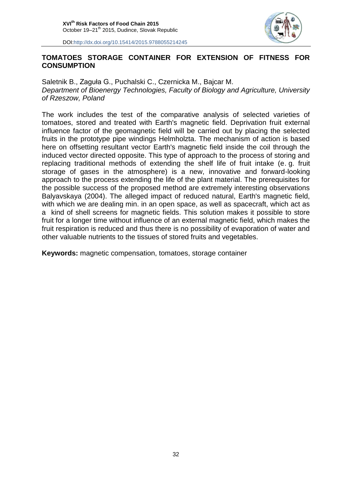

#### **TOMATOES STORAGE CONTAINER FOR EXTENSION OF FITNESS FOR CONSUMPTION**

Saletnik B., Zaguła G., Puchalski C., Czernicka M., Bajcar M. *Department of Bioenergy Technologies, Faculty of Biology and Agriculture, University of Rzeszow, Poland*

The work includes the test of the comparative analysis of selected varieties of tomatoes, stored and treated with Earth's magnetic field. Deprivation fruit external influence factor of the geomagnetic field will be carried out by placing the selected fruits in the prototype pipe windings Helmholzta. The mechanism of action is based here on offsetting resultant vector Earth's magnetic field inside the coil through the induced vector directed opposite. This type of approach to the process of storing and replacing traditional methods of extending the shelf life of fruit intake (e. g. fruit storage of gases in the atmosphere) is a new, innovative and forward-looking approach to the process extending the life of the plant material. The prerequisites for the possible success of the proposed method are extremely interesting observations Balyavskaya (2004). The alleged impact of reduced natural, Earth's magnetic field, with which we are dealing min. in an open space, as well as spacecraft, which act as a kind of shell screens for magnetic fields. This solution makes it possible to store fruit for a longer time without influence of an external magnetic field, which makes the fruit respiration is reduced and thus there is no possibility of evaporation of water and other valuable nutrients to the tissues of stored fruits and vegetables.

**Keywords:** magnetic compensation, tomatoes, storage container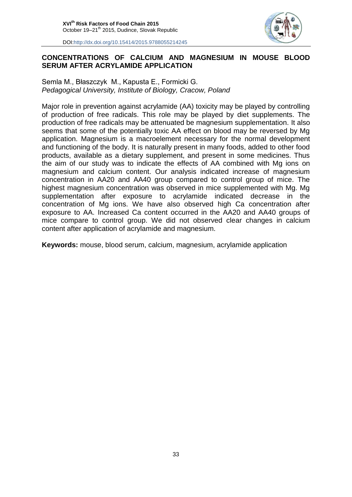

#### **CONCENTRATIONS OF CALCIUM AND MAGNESIUM IN MOUSE BLOOD SERUM AFTER ACRYLAMIDE APPLICATION**

Semla M., Błaszczyk M., Kapusta E., Formicki G. *Pedagogical University, Institute of Biology, Cracow, Poland*

Major role in prevention against acrylamide (AA) toxicity may be played by controlling of production of free radicals. This role may be played by diet supplements. The production of free radicals may be attenuated be magnesium supplementation. It also seems that some of the potentially toxic AA effect on blood may be reversed by Mg application. Magnesium is a macroelement necessary for the normal development and functioning of the body. It is naturally present in many foods, added to other food products, available as a dietary supplement, and present in some medicines. Thus the aim of our study was to indicate the effects of AA combined with Mg ions on magnesium and calcium content. Our analysis indicated increase of magnesium concentration in AA20 and AA40 group compared to control group of mice. The highest magnesium concentration was observed in mice supplemented with Mg. Mg supplementation after exposure to acrylamide indicated decrease in the concentration of Mg ions. We have also observed high Ca concentration after exposure to AA. Increased Ca content occurred in the AA20 and AA40 groups of mice compare to control group. We did not observed clear changes in calcium content after application of acrylamide and magnesium.

**Keywords:** mouse, blood serum, calcium, magnesium, acrylamide application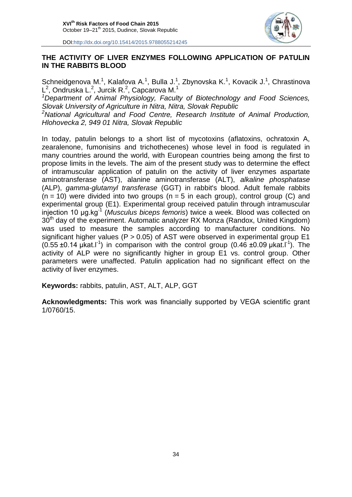

#### **THE ACTIVITY OF LIVER ENZYMES FOLLOWING APPLICATION OF PATULIN IN THE RABBITS BLOOD**

Schneidgenova M.<sup>1</sup>, Kalafova A.<sup>1</sup>, Bulla J.<sup>1</sup>, Zbynovska K.<sup>1</sup>, Kovacik J.<sup>1</sup>, Chrastinova  $\mathsf{L}^2$ , Ondruska L.<sup>2</sup>, Jurcik R.<sup>2</sup>, Capcarova M.<sup>1</sup>

*<sup>1</sup>Department of Animal Physiology, Faculty of Biotechnology and Food Sciences, Slovak University of Agriculture in Nitra, Nitra, Slovak Republic*

*<sup>2</sup>National Agricultural and Food Centre, Research Institute of Animal Production, Hlohovecka 2, 949 01 Nitra, Slovak Republic*

In today, patulin belongs to a short list of mycotoxins (aflatoxins, ochratoxin A, zearalenone, fumonisins and trichothecenes) whose level in food is regulated in many countries around the world, with European countries being among the first to propose limits in the levels. The aim of the present study was to determine the effect of intramuscular application of patulin on the activity of liver enzymes aspartate aminotransferase (AST), alanine aminotransferase (ALT), *alkaline phosphatase* (ALP), *gamma-glutamyl transferase* (GGT) in rabbit's blood. Adult female rabbits  $(n = 10)$  were divided into two groups  $(n = 5$  in each group), control group (C) and experimental group (E1). Experimental group received patulin through intramuscular injection 10 µg.kg-1 (*Musculus biceps femoris*) twice a week. Blood was collected on  $30<sup>th</sup>$  day of the experiment. Automatic analyzer RX Monza (Randox, United Kingdom) was used to measure the samples according to manufacturer conditions. No significant higher values ( $P > 0.05$ ) of AST were observed in experimental group E1  $(0.55 \pm 0.14 \mu \text{k} \text{at.} \text{m}^{-1})$  in comparison with the control group  $(0.46 \pm 0.09 \mu \text{k} \text{at.} \text{m}^{-1})$ . The activity of ALP were no significantly higher in group E1 vs. control group. Other parameters were unaffected. Patulin application had no significant effect on the activity of liver enzymes.

**Keywords:** rabbits, patulin, AST, ALT, ALP, GGT

**Acknowledgments:** This work was financially supported by VEGA scientific grant 1/0760/15.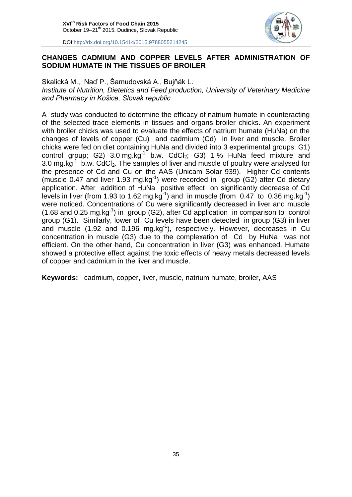

#### **CHANGES CADMIUM AND COPPER LEVELS AFTER ADMINISTRATION OF SODIUM HUMATE IN THE TISSUES OF BROILER**

Skalická M., Naď P., Šamudovská A., Bujňák L.

*Institute of Nutrition, Dietetics and Feed production, University of Veterinary Medicine and Pharmacy in Košice, Slovak republic* 

A study was conducted to determine the efficacy of natrium humate in counteracting of the selected trace elements in tissues and organs broiler chicks. An experiment with broiler chicks was used to evaluate the effects of natrium humate (HuNa) on the changes of levels of copper (Cu) and cadmium (Cd) in liver and muscle. Broiler chicks were fed on diet containing HuNa and divided into 3 experimental groups: G1) control group; G2)  $3.0 \text{ mg} \cdot \text{kg}^{-1}$  b.w. CdCl<sub>2</sub>; G3) 1% HuNa feed mixture and 3.0 mg.kg<sup>-1</sup> b.w. CdCl<sub>2</sub>. The samples of liver and muscle of poultry were analysed for the presence of Cd and Cu on the AAS (Unicam Solar 939). Higher Cd contents (muscle 0.47 and liver 1.93 mg.kg<sup>-1</sup>) were recorded in group (G2) after Cd dietary application. After addition of HuNa positive effect on significantly decrease of Cd levels in liver (from 1.93 to 1.62 mg.kg<sup>-1</sup>) and in muscle (from 0.47 to 0.36 mg.kg<sup>-1</sup>) were noticed. Concentrations of Cu were significantly decreased in liver and muscle  $(1.68$  and 0.25 mg.kg<sup>-1</sup>) in group (G2), after Cd application in comparison to control group (G1). Similarly, lower of Cu levels have been detected in group (G3) in liver and muscle (1.92 and 0.196 mg.kg<sup>-1</sup>), respectively. However, decreases in Cu concentration in muscle (G3) due to the complexation of Cd by HuNa was not efficient. On the other hand, Cu concentration in liver (G3) was enhanced. Humate showed a protective effect against the toxic effects of heavy metals decreased levels of copper and cadmium in the liver and muscle.

**Keywords:** cadmium, copper, liver, muscle, natrium humate, broiler, AAS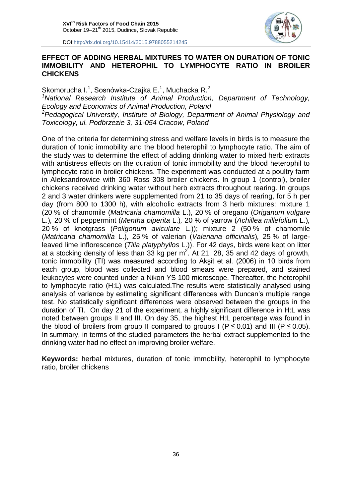

#### **EFFECT OF ADDING HERBAL MIXTURES TO WATER ON DURATION OF TONIC IMMOBILITY AND HETEROPHIL TO LYMPHOCYTE RATIO IN BROILER CHICKENS**

Skomorucha I.<sup>1</sup>, Sosnówka-Czajka E.<sup>1</sup>, Muchacka R.<sup>2</sup> *<sup>1</sup>National Research Institute of Animal Production, Department of Technology, Ecology and Economics of Animal Production, Poland <sup>2</sup>Pedagogical University, Institute of Biology, Department of Animal Physiology and Toxicology, ul. Podbrzezie 3, 31-054 Cracow, Poland*

One of the criteria for determining stress and welfare levels in birds is to measure the duration of tonic immobility and the blood heterophil to lymphocyte ratio. The aim of the study was to determine the effect of adding drinking water to mixed herb extracts with antistress effects on the duration of tonic immobility and the blood heterophil to lymphocyte ratio in broiler chickens. The experiment was conducted at a poultry farm in Aleksandrowice with 360 Ross 308 broiler chickens. In group 1 (control), broiler chickens received drinking water without herb extracts throughout rearing. In groups 2 and 3 water drinkers were supplemented from 21 to 35 days of rearing, for 5 h per day (from 800 to 1300 h), with alcoholic extracts from 3 herb mixtures: mixture 1 (20 % of chamomile (*Matricaria chamomilla* L.), 20 % of oregano (*Origanum vulgare*  L.)*,* 20 % of peppermint (*Mentha piperita* L.)*,* 20 % of yarrow (*Achillea millefolium* L*.*)*,* 20 % of knotgrass (*Poligonum aviculare* L*.*)); mixture 2 (50 % of chamomile (*Matricaria chamomilla* L.), 25 % of valerian (*Valeriana officinalis*)*,* 25 % of largeleaved lime inflorescence (*Tilia platyphyllos* L.)). For 42 days, birds were kept on litter at a stocking density of less than 33 kg per  $m^2$ . At 21, 28, 35 and 42 days of growth, tonic immobility (TI) was measured according to Akşit et al. (2006) in 10 birds from each group, blood was collected and blood smears were prepared, and stained leukocytes were counted under a Nikon YS 100 microscope. Thereafter, the heterophil to lymphocyte ratio (H:L) was calculated.The results were statistically analysed using analysis of variance by estimating significant differences with Duncan's multiple range test. No statistically significant differences were observed between the groups in the duration of TI. On day 21 of the experiment, a highly significant difference in H:L was noted between groups II and III. On day 35, the highest H:L percentage was found in the blood of broilers from group II compared to groups I ( $P \le 0.01$ ) and III ( $P \le 0.05$ ). In summary, in terms of the studied parameters the herbal extract supplemented to the drinking water had no effect on improving broiler welfare.

**Keywords:** herbal mixtures, duration of tonic immobility, heterophil to lymphocyte ratio, broiler chickens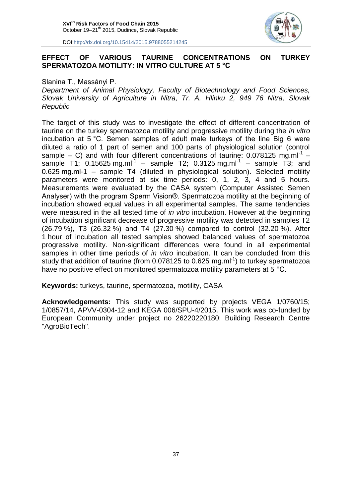

#### **EFFECT OF VARIOUS TAURINE CONCENTRATIONS ON TURKEY SPERMATOZOA MOTILITY: IN VITRO CULTURE AT 5 °C**

#### Slanina T., Massányi P.

*Department of Animal Physiology, Faculty of Biotechnology and Food Sciences, Slovak University of Agriculture in Nitra, Tr. A. Hlinku 2, 949 76 Nitra, Slovak Republic*

The target of this study was to investigate the effect of different concentration of taurine on the turkey spermatozoa motility and progressive motility during the *in vitro* incubation at 5 °C. Semen samples of adult male turkeys of the line Big 6 were diluted a ratio of 1 part of semen and 100 parts of physiological solution (control sample  $-$  C) and with four different concentrations of taurine: 0.078125 mg.ml<sup>-1</sup>  $$ sample T1; 0.15625 mg.ml<sup>-1</sup> – sample T2; 0.3125 mg.ml<sup>-1</sup> – sample T3; and 0.625 mg.ml-1 – sample T4 (diluted in physiological solution). Selected motility parameters were monitored at six time periods: 0, 1, 2, 3, 4 and 5 hours. Measurements were evaluated by the CASA system (Computer Assisted Semen Analyser) with the program Sperm Vision®. Spermatozoa motility at the beginning of incubation showed equal values in all experimental samples. The same tendencies were measured in the all tested time of *in vitro* incubation. However at the beginning of incubation significant decrease of progressive motility was detected in samples T2 (26.79 %), T3 (26.32 %) and T4 (27.30 %) compared to control (32.20 %). After 1 hour of incubation all tested samples showed balanced values of spermatozoa progressive motility. Non-significant differences were found in all experimental samples in other time periods of *in vitro* incubation. It can be concluded from this study that addition of taurine (from 0.078125 to 0.625 mg.ml $^{-1}$ ) to turkey spermatozoa have no positive effect on monitored spermatozoa motility parameters at 5 °C.

**Keywords:** turkeys, taurine, spermatozoa, motility, CASA

**Acknowledgements:** This study was supported by projects VEGA 1/0760/15; 1/0857/14, APVV-0304-12 and KEGA 006/SPU-4/2015. This work was co-funded by European Community under project no 26220220180: Building Research Centre "AgroBioTech".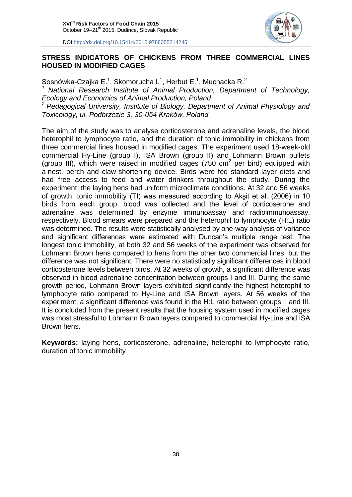

#### **STRESS INDICATORS OF CHICKENS FROM THREE COMMERCIAL LINES HOUSED IN MODIFIED CAGES**

Sosnówka-Czajka E.<sup>1</sup>, Skomorucha I.<sup>1</sup>, Herbut E.<sup>1</sup>, Muchacka R.<sup>2</sup> *<sup>1</sup> National Research Institute of Animal Production, Department of Technology, Ecology and Economics of Animal Production, Poland <sup>2</sup> Pedagogical University, Institute of Biology, Department of Animal Physiology and Toxicology, ul. Podbrzezie 3, 30-054 Kraków, Poland*

The aim of the study was to analyse corticosterone and adrenaline levels, the blood heterophil to lymphocyte ratio, and the duration of tonic immobility in chickens from three commercial lines housed in modified cages. The experiment used 18-week-old commercial Hy-Line (group I), ISA Brown (group II) and Lohmann Brown pullets (group III), which were raised in modified cages  $(750 \text{ cm}^2 \text{ per bird})$  equipped with a nest, perch and claw-shortening device. Birds were fed standard layer diets and had free access to feed and water drinkers throughout the study. During the experiment, the laying hens had uniform microclimate conditions. At 32 and 56 weeks of growth, tonic immobility (TI) was measured according to Akşit et al. (2006) in 10 birds from each group, blood was collected and the level of corticoserone and adrenaline was determined by enzyme immunoassay and radioimmunoassay, respectively. Blood smears were prepared and the heterophil to lymphocyte (H:L) ratio was determined. The results were statistically analysed by one-way analysis of variance and significant differences were estimated with Duncan's multiple range test. The longest tonic immobility, at both 32 and 56 weeks of the experiment was observed for Lohmann Brown hens compared to hens from the other two commercial lines, but the difference was not significant. There were no statistically significant differences in blood corticosterone levels between birds. At 32 weeks of growth, a significant difference was observed in blood adrenaline concentration between groups I and III. During the same growth period, Lohmann Brown layers exhibited significantly the highest heterophil to lymphocyte ratio compared to Hy-Line and ISA Brown layers. At 56 weeks of the experiment, a significant difference was found in the H:L ratio between groups II and III. It is concluded from the present results that the housing system used in modified cages was most stressful to Lohmann Brown layers compared to commercial Hy-Line and ISA Brown hens.

**Keywords:** laying hens, corticosterone, adrenaline, heterophil to lymphocyte ratio, duration of tonic immobility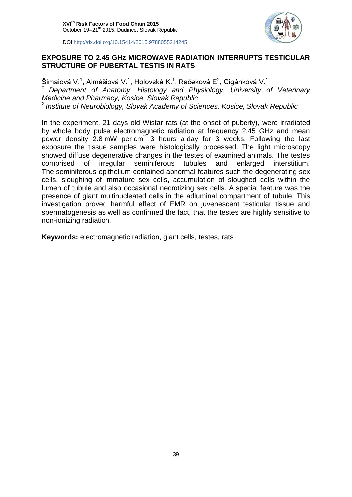

#### **EXPOSURE TO 2.45 GHz MICROWAVE RADIATION INTERRUPTS TESTICULAR STRUCTURE OF PUBERTAL TESTIS IN RATS**

Šimaiová V.<sup>1</sup>, Almášiová V.<sup>1</sup>, Holovská K.<sup>1</sup>, Račeková E<sup>2</sup>, Cigánková V.<sup>1</sup> *<sup>1</sup> Department of Anatomy, Histology and Physiology, University of Veterinary Medicine and Pharmacy, Kosice, Slovak Republic 2 Institute of Neurobiology, Slovak Academy of Sciences, Kosice, Slovak Republic*

In the experiment, 21 days old Wistar rats (at the onset of puberty), were irradiated by whole body pulse electromagnetic radiation at frequency 2.45 GHz and mean power density 2.8 mW per cm<sup>2</sup> 3 hours a day for 3 weeks. Following the last exposure the tissue samples were histologically processed. The light microscopy showed diffuse degenerative changes in the testes of examined animals. The testes comprised of irregular seminiferous tubules and enlarged interstitium. The seminiferous epithelium contained abnormal features such the degenerating sex cells, sloughing of immature sex cells, accumulation of sloughed cells within the lumen of tubule and also occasional necrotizing sex cells. A special feature was the presence of giant multinucleated cells in the adluminal compartment of tubule. This investigation proved harmful effect of EMR on juvenescent testicular tissue and spermatogenesis as well as confirmed the fact, that the testes are highly sensitive to non-ionizing radiation.

**Keywords:** electromagnetic radiation, giant cells, testes, rats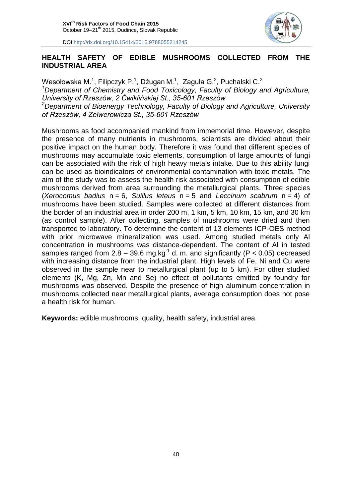

#### **HEALTH SAFETY OF EDIBLE MUSHROOMS COLLECTED FROM THE INDUSTRIAL AREA**

Wesołowska M. $^1$ , Filipczyk P. $^1$ , Dżugan M. $^1$ , Zaguła G. $^2$ , Puchalski C. $^2$ *<sup>1</sup>Department of Chemistry and Food Toxicology, Faculty of Biology and Agriculture, University of Rzeszów, 2 Ćwiklińskiej St., 35-601 Rzeszów <sup>2</sup>Department of Bioenergy Technology, Faculty of Biology and Agriculture, University of Rzeszów, 4 Zelwerowicza St., 35-601 Rzeszów*

Mushrooms as food accompanied mankind from immemorial time. However, despite the presence of many nutrients in mushrooms, scientists are divided about their positive impact on the human body. Therefore it was found that different species of mushrooms may accumulate toxic elements, consumption of large amounts of fungi can be associated with the risk of high heavy metals intake. Due to this ability fungi can be used as bioindicators of environmental contamination with toxic metals. The aim of the study was to assess the health risk associated with consumption of edible mushrooms derived from area surrounding the metallurgical plants. Three species (*Xerocomus badius* n = 6, *Suillus leteus* n = 5 and *Leccinum scabrum* n = 4) of mushrooms have been studied. Samples were collected at different distances from the border of an industrial area in order 200 m, 1 km, 5 km, 10 km, 15 km, and 30 km (as control sample). After collecting, samples of mushrooms were dried and then transported to laboratory. To determine the content of 13 elements ICP-OES method with prior microwave mineralization was used. Among studied metals only Al concentration in mushrooms was distance-dependent. The content of Al in tested samples ranged from 2.8 – 39.6 mg.kg<sup>-1</sup> d. m. and significantly (P < 0.05) decreased with increasing distance from the industrial plant. High levels of Fe, Ni and Cu were observed in the sample near to metallurgical plant (up to 5 km). For other studied elements (K, Mg, Zn, Mn and Se) no effect of pollutants emitted by foundry for mushrooms was observed. Despite the presence of high aluminum concentration in mushrooms collected near metallurgical plants, average consumption does not pose a health risk for human.

**Keywords:** edible mushrooms, quality, health safety, industrial area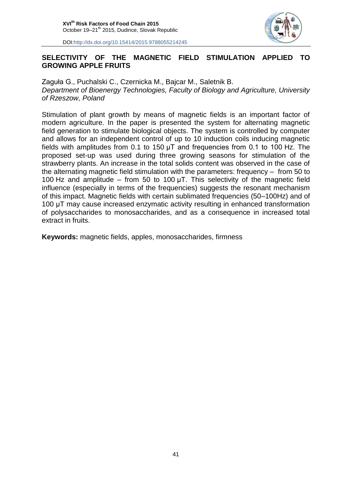

#### **SELECTIVITY OF THE MAGNETIC FIELD STIMULATION APPLIED TO GROWING APPLE FRUITS**

Zaguła G., Puchalski C., Czernicka M., Bajcar M., Saletnik B. *Department of Bioenergy Technologies, Faculty of Biology and Agriculture, University of Rzeszow, Poland*

Stimulation of plant growth by means of magnetic fields is an important factor of modern agriculture. In the paper is presented the system for alternating magnetic field generation to stimulate biological objects. The system is controlled by computer and allows for an independent control of up to 10 induction coils inducing magnetic fields with amplitudes from 0.1 to 150 µT and frequencies from 0.1 to 100 Hz. The proposed set-up was used during three growing seasons for stimulation of the strawberry plants. An increase in the total solids content was observed in the case of the alternating magnetic field stimulation with the parameters: frequency – from 50 to 100 Hz and amplitude – from 50 to 100  $\mu$ T. This selectivity of the magnetic field influence (especially in terms of the frequencies) suggests the resonant mechanism of this impact. Magnetic fields with certain sublimated frequencies (50–100Hz) and of 100 µT may cause increased enzymatic activity resulting in enhanced transformation of polysaccharides to monosaccharides, and as a consequence in increased total extract in fruits.

**Keywords:** magnetic fields, apples, monosaccharides, firmness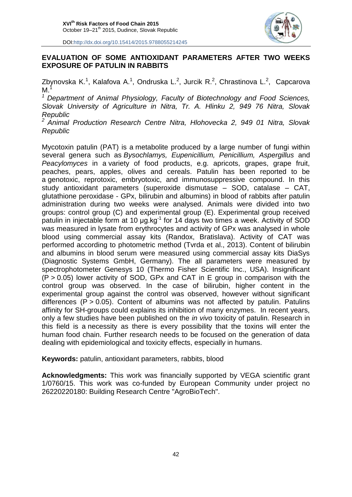

#### **EVALUATION OF SOME ANTIOXIDANT PARAMETERS AFTER TWO WEEKS EXPOSURE OF PATULIN IN RABBITS**

Zbynovska K.<sup>1</sup>, Kalafova A.<sup>1</sup>, Ondruska L.<sup>2</sup>, Jurcik R.<sup>2</sup>, Chrastinova L.<sup>2</sup>, Capcarova  $M<sup>1</sup>$ 

*<sup>1</sup> Department of Animal Physiology, Faculty of Biotechnology and Food Sciences, Slovak University of Agriculture in Nitra, Tr. A. Hlinku 2, 949 76 Nitra, Slovak Republic*

*<sup>2</sup> Animal Production Research Centre Nitra, Hlohovecka 2, 949 01 Nitra, Slovak Republic*

Mycotoxin patulin (PAT) is a metabolite produced by a large number of fungi within several genera such as *Bysochlamys, Eupenicillium, Penicillium, Aspergillus* and *Peacylomyces* in a variety of food products, e.g. apricots, grapes, grape fruit, peaches, pears, apples, olives and cereals. Patulin has been reported to be a genotoxic, reprotoxic, embryotoxic, and immunosuppressive compound. In this study antioxidant parameters (superoxide dismutase – SOD, catalase – CAT, glutathione peroxidase - GPx, bilirubin and albumins) in blood of rabbits after patulin administration during two weeks were analysed. Animals were divided into two groups: control group (C) and experimental group (E). Experimental group received patulin in injectable form at 10  $\mu$ g.kg<sup>-1</sup> for 14 days two times a week. Activity of SOD was measured in lysate from erythrocytes and activity of GPx was analysed in whole blood using commercial assay kits (Randox, Bratislava). Activity of CAT was performed according to photometric method (Tvrda et al., 2013). Content of bilirubin and albumins in blood serum were measured using commercial assay kits DiaSys (Diagnostic Systems GmbH, Germany). The all parameters were measured by spectrophotometer Genesys 10 (Thermo Fisher Scientific Inc., USA). Insignificant  $(P > 0.05)$  lower activity of SOD, GPx and CAT in E group in comparison with the control group was observed. In the case of bilirubin, higher content in the experimental group against the control was observed, however without significant differences ( $P > 0.05$ ). Content of albumins was not affected by patulin. Patulins affinity for SH-groups could explains its inhibition of many enzymes. In recent years, only a few studies have been published on the *in vivo* toxicity of patulin. Research in this field is a necessity as there is every possibility that the toxins will enter the human food chain. Further research needs to be focused on the generation of data dealing with epidemiological and toxicity effects, especially in humans.

**Keywords:** patulin, antioxidant parameters, rabbits, blood

**Acknowledgments:** This work was financially supported by VEGA scientific grant 1/0760/15. This work was co-funded by European Community under project no 26220220180: Building Research Centre "AgroBioTech".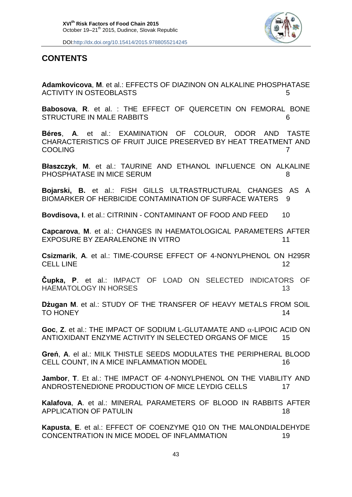

### **CONTENTS**

**Adamkovicova**, **M**. et al.: EFFECTS OF DIAZINON ON ALKALINE PHOSPHATASE ACTIVITY IN OSTEOBLASTS **1998** S

**Babosova**, **R**. et al. : THE EFFECT OF QUERCETIN ON FEMORAL BONE STRUCTURE IN MALE RABBITS 6

**Béres**, **A**. et al.: EXAMINATION OF COLOUR, ODOR AND TASTE CHARACTERISTICS OF FRUIT JUICE PRESERVED BY HEAT TREATMENT AND COOLING **7** 

**Błaszczyk**, **M**. et al.: TAURINE AND ETHANOL INFLUENCE ON ALKALINE PHOSPHATASE IN MICE SERUM 8

**Bojarski, B.** et al.: FISH GILLS ULTRASTRUCTURAL CHANGES AS A BIOMARKER OF HERBICIDE CONTAMINATION OF SURFACE WATERS 9

**Bovdisova, I.** et al.: CITRININ - CONTAMINANT OF FOOD AND FEED 10

**Capcarova**, **M**. et al.: CHANGES IN HAEMATOLOGICAL PARAMETERS AFTER EXPOSURE BY ZEARALENONE IN VITRO 11

**Csizmarik**, **A**. et al.: TIME-COURSE EFFECT OF 4-NONYLPHENOL ON H295R CELL LINE 12

**Čupka, P**. et al.: IMPACT OF LOAD ON SELECTED INDICATORS OF HAEMATOLOGY IN HORSES 13

**Dżugan M**. et al.: STUDY OF THE TRANSFER OF HEAVY METALS FROM SOIL TO HONEY 22 AU 2022 TO HONEY 22 AU 2022 TO HONEY

**Goc.**  $Z$ **. et al.: THE IMPACT OF SODIUM L-GLUTAMATE AND**  $\alpha$ **-LIPOIC ACID ON** ANTIOXIDANT ENZYME ACTIVITY IN SELECTED ORGANS OF MICE 15

**Greń**, **A**. el al.: MILK THISTLE SEEDS MODULATES THE PERIPHERAL BLOOD CELL COUNT, IN A MICE INFLAMMATION MODEL 16

**Jambor**, **T**. Et al.: THE IMPACT OF 4-NONYLPHENOL ON THE VIABILITY AND ANDROSTENEDIONE PRODUCTION OF MICE LEYDIG CELLS 17

**Kalafova**, **A**. et al.: MINERAL PARAMETERS OF BLOOD IN RABBITS AFTER APPLICATION OF PATULIN 18

**Kapusta**, **E**. et al.: EFFECT OF COENZYME Q10 ON THE MALONDIALDEHYDE CONCENTRATION IN MICE MODEL OF INFLAMMATION 19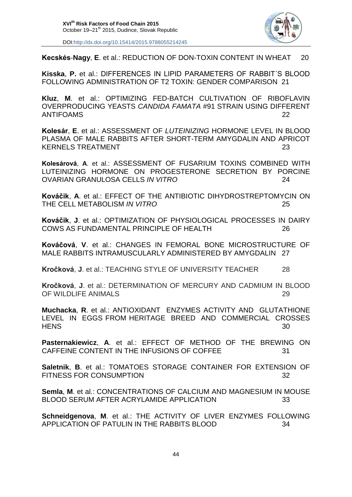

**Kecskés**-**Nagy**, **E**. et al.: REDUCTION OF DON-TOXIN CONTENT IN WHEAT 20

**Kisska**, **P.** et al.: DIFFERENCES IN LIPID PARAMETERS OF RABBIT´S BLOOD FOLLOWING ADMINISTRATION OF T2 TOXIN: GENDER COMPARISON 21

**Kluz**, **M**. et al.: OPTIMIZING FED-BATCH CULTIVATION OF RIBOFLAVIN OVERPRODUCING YEASTS *CANDIDA FAMATA* #91 STRAIN USING DIFFERENT ANTIFOAMS 22

**Kolesár**, **E**. et al.: ASSESSMENT OF *LUTEINIZING* HORMONE LEVEL IN BLOOD PLASMA OF MALE RABBITS AFTER SHORT-TERM AMYGDALIN AND APRICOT KERNELS TREATMENT 23

**Kolesárová**, **A**. et al.: ASSESSMENT OF FUSARIUM TOXINS COMBINED WITH LUTEINIZING HORMONE ON PROGESTERONE SECRETION BY PORCINE OVARIAN GRANULOSA CELLS *IN VITRO* 24

**Kováčik**, **A**. et al.: EFFECT OF THE ANTIBIOTIC DIHYDROSTREPTOMYCIN ON THE CELL METABOLISM *IN VITRO* 25

**Kováčik**, **J**. et al.: OPTIMIZATION OF PHYSIOLOGICAL PROCESSES IN DAIRY COWS AS FUNDAMENTAL PRINCIPLE OF HEALTH 26

**Kováčová**, **V**. et al.: CHANGES IN FEMORAL BONE MICROSTRUCTURE OF MALE RABBITS INTRAMUSCULARLY ADMINISTERED BY AMYGDALIN 27

**Kročková**, **J**. et al.: TEACHING STYLE OF UNIVERSITY TEACHER 28

**Kročková**, **J**. et al.: DETERMINATION OF MERCURY AND CADMIUM IN BLOOD OF WILDLIFE ANIMALS 29

**Muchacka**, **R**. et al.: ANTIOXIDANT ENZYMES ACTIVITY AND GLUTATHIONE LEVEL IN EGGS FROM HERITAGE BREED AND COMMERCIAL CROSSES HENS 30

**Pasternakiewicz**, **A**. et al.: EFFECT OF METHOD OF THE BREWING ON CAFFEINE CONTENT IN THE INFUSIONS OF COFFEE 31

**Saletnik**, **B**. et al.: TOMATOES STORAGE CONTAINER FOR EXTENSION OF FITNESS FOR CONSUMPTION 32

**Semla**, **M**. et al.: CONCENTRATIONS OF CALCIUM AND MAGNESIUM IN MOUSE BLOOD SERUM AFTER ACRYLAMIDE APPLICATION 33

**Schneidgenova**, **M**. et al.: THE ACTIVITY OF LIVER ENZYMES FOLLOWING APPLICATION OF PATULIN IN THE RABBITS BLOOD 34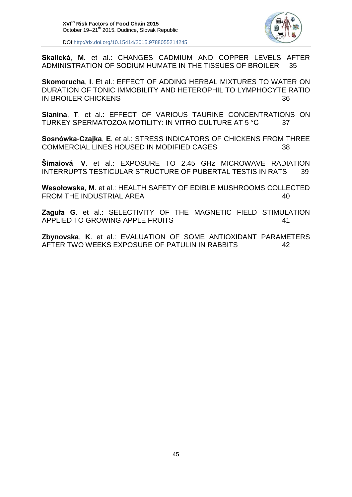

**Skalická**, **M.** et al.: CHANGES CADMIUM AND COPPER LEVELS AFTER ADMINISTRATION OF SODIUM HUMATE IN THE TISSUES OF BROILER 35

**Skomorucha**, **I**. Et al.: EFFECT OF ADDING HERBAL MIXTURES TO WATER ON DURATION OF TONIC IMMOBILITY AND HETEROPHIL TO LYMPHOCYTE RATIO IN BROILER CHICKENS 36

**Slanina**, **T**. et al.: EFFECT OF VARIOUS TAURINE CONCENTRATIONS ON TURKEY SPERMATOZOA MOTILITY: IN VITRO CULTURE AT 5 °C 37

**Sosnówka**-**Czajka**, **E**. et al.: STRESS INDICATORS OF CHICKENS FROM THREE COMMERCIAL LINES HOUSED IN MODIFIED CAGES 38

**Šimaiová**, **V**. et al.: EXPOSURE TO 2.45 GHz MICROWAVE RADIATION INTERRUPTS TESTICULAR STRUCTURE OF PUBERTAL TESTIS IN RATS 39

**Wesołowska**, **M**. et al.: HEALTH SAFETY OF EDIBLE MUSHROOMS COLLECTED FROM THE INDUSTRIAL AREA 40

**Zaguła G**. et al.: SELECTIVITY OF THE MAGNETIC FIELD STIMULATION APPLIED TO GROWING APPLE FRUITS 41

**Zbynovska**, **K**. et al.: EVALUATION OF SOME ANTIOXIDANT PARAMETERS AFTER TWO WEEKS EXPOSURE OF PATULIN IN RABBITS 42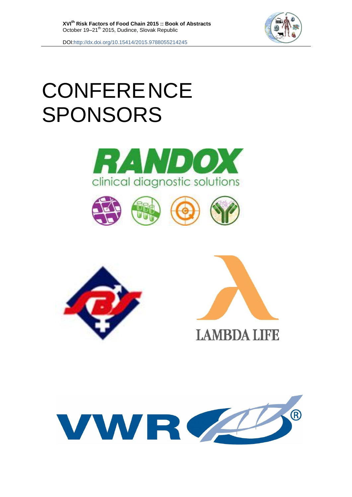

# **CONFERENCE** SPONSORS